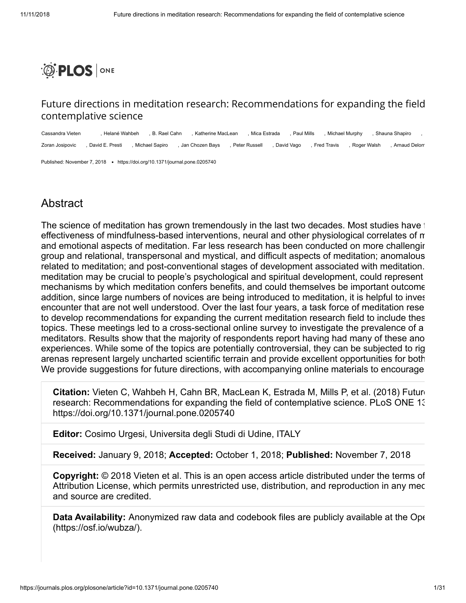

## Future directions in meditation research: Recommendations for expanding the field contemplative science

Cassandra Vieten , Helané Wahbeh , B. Rael Cahn , Katherine MacLean , Mica Estrada , Paul Mills , Michael Murphy , Shauna Shapiro , Zoran Josipovic , David E. Presti , Michael Sapiro , Jan Chozen Bays , Peter Russell , David Vago , Fred Travis , Roger Walsh , Arnaud Delorm

Published: November 7, 2018 . <https://doi.org/10.1371/journal.pone.0205740>

## Abstract

The science of meditation has grown tremendously in the last two decades. Most studies have i effectiveness of mindfulness-based interventions, neural and other physiological correlates of m and emotional aspects of meditation. Far less research has been conducted on more challengin group and relational, transpersonal and mystical, and difficult aspects of meditation; anomalous related to meditation; and post-conventional stages of development associated with meditation. meditation may be crucial to people's psychological and spiritual development, could represent mechanisms by which meditation confers benefits, and could themselves be important outcome addition, since large numbers of novices are being introduced to meditation, it is helpful to inves encounter that are not well understood. Over the last four years, a task force of meditation rese to develop recommendations for expanding the current meditation research field to include thes topics. These meetings led to a cross-sectional online survey to investigate the prevalence of a meditators. Results show that the majority of respondents report having had many of these ano experiences. While some of the topics are potentially controversial, they can be subjected to rig arenas represent largely uncharted scientific terrain and provide excellent opportunities for both We provide suggestions for future directions, with accompanying online materials to encourage

**Citation:** Vieten C, Wahbeh H, Cahn BR, MacLean K, Estrada M, Mills P, et al. (2018) Future research: Recommendations for expanding the field of contemplative science. PLoS ONE 13 https://doi.org/10.1371/journal.pone.0205740

**Editor:** Cosimo Urgesi, Universita degli Studi di Udine, ITALY

**Received:** January 9, 2018; **Accepted:** October 1, 2018; **Published:** November 7, 2018

**Copyright:** © 2018 Vieten et al. This is an open access article distributed under the terms of [Attribution License, which permits unrestricted use, distribution, and reproduction in any med](http://creativecommons.org/licenses/by/4.0/) and source are credited.

**Data Availability:** Anonymized raw data and codebook files are publicly available at the Ope (<https://osf.io/wubza/>).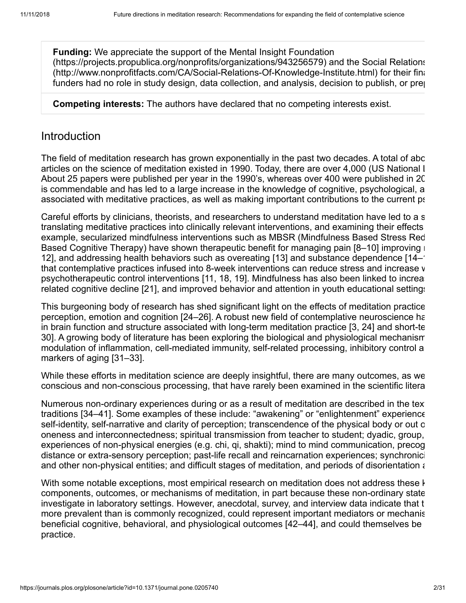**Funding:** We appreciate the support of the Mental Insight Foundation (<https://projects.propublica.org/nonprofits/organizations/943256579>) and the Social Relations (<http://www.nonprofitfacts.com/CA/Social-Relations-Of-Knowledge-Institute.html>) for their fina funders had no role in study design, data collection, and analysis, decision to publish, or pre

**Competing interests:** The authors have declared that no competing interests exist.

# **Introduction**

The field of meditation research has grown exponentially in the past two decades. A total of abo articles on the science of meditation existed in 1990. Today, there are over 4,000 (US National L About 25 papers were published per year in the 1990's, whereas over 400 were published in 20 is commendable and has led to a large increase in the knowledge of cognitive, psychological, a associated with meditative practices, as well as making important contributions to the current ps

Careful efforts by clinicians, theorists, and researchers to understand meditation have led to a s translating meditative practices into clinically relevant interventions, and examining their effects example, secularized mindfulness interventions such as MBSR (Mindfulness Based Stress Red Based Cognitive Therapy) have shown therapeutic benefit for managing pain  $[8-10]$  $[8-10]$  $[8-10]$  improving  $\blacksquare$ [12](#page-18-0)], and addressing health behaviors such as overeating [[13\]](#page-18-1) and substance dependence [[14](#page-18-2)–[1](#page-18-3)] that contemplative practices infused into 8-week interventions can reduce stress and increase w psychotherapeutic control interventions [[11](#page-18-4), [18](#page-18-5), [19](#page-18-6)]. Mindfulness has also been linked to increate related cognitive decline [\[21\]](#page-18-7), and improved behavior and attention in youth educational settings

This burgeoning body of research has shed significant light on the effects of meditation practice perception, emotion and cognition [[24](#page-19-0)–[26](#page-19-1)]. A robust new field of contemplative neuroscience ha in brain function and structure associated with long-term meditation practice [[3,](#page-17-2) [24\]](#page-19-0) and short-te [30](#page-19-2)]. A growing body of literature has been exploring the biological and physiological mechanism modulation of inflammation, cell-mediated immunity, self-related processing, inhibitory control a markers of aging [[31](#page-19-3)[–33](#page-20-0)].

While these efforts in meditation science are deeply insightful, there are many outcomes, as we conscious and non-conscious processing, that have rarely been examined in the scientific litera

Numerous non-ordinary experiences during or as a result of meditation are described in the text traditions [\[34](#page-20-1)[–41](#page-20-2)]. Some examples of these include: "awakening" or "enlightenment" experience self-identity, self-narrative and clarity of perception; transcendence of the physical body or out o oneness and interconnectedness; spiritual transmission from teacher to student; dyadic, group, experiences of non-physical energies (e.g. chi, qi, shakti); mind to mind communication, precog distance or extra-sensory perception; past-life recall and reincarnation experiences; synchronici and other non-physical entities; and difficult stages of meditation, and periods of disorientation and

With some notable exceptions, most empirical research on meditation does not address these k components, outcomes, or mechanisms of meditation, in part because these non-ordinary state investigate in laboratory settings. However, anecdotal, survey, and interview data indicate that t more prevalent than is commonly recognized, could represent important mediators or mechanis beneficial cognitive, behavioral, and physiological outcomes [[42–](#page-20-3)[44](#page-20-4)], and could themselves be practice.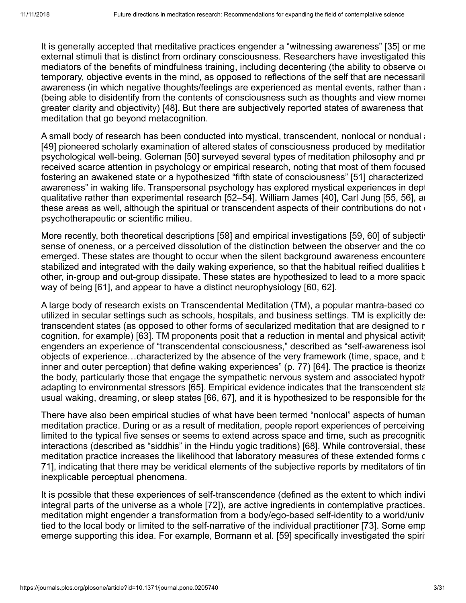It is generally accepted that meditative practices engender a "witnessing awareness" [[35](#page-20-5)] or me external stimuli that is distinct from ordinary consciousness. Researchers have investigated this mediators of the benefits of mindfulness training, including decentering (the ability to observe on temporary, objective events in the mind, as opposed to reflections of the self that are necessaril awareness (in which negative thoughts/feelings are experienced as mental events, rather than a (being able to disidentify from the contents of consciousness such as thoughts and view momen greater clarity and objectivity) [\[48](#page-20-6)]. But there are subjectively reported states of awareness that meditation that go beyond metacognition.

A small body of research has been conducted into mystical, transcendent, nonlocal or nondual a [\[49](#page-20-7)] pioneered scholarly examination of altered states of consciousness produced by meditatior psychological well-being. Goleman [\[50\]](#page-21-0) surveyed several types of meditation philosophy and pr received scarce attention in psychology or empirical research, noting that most of them focused fostering an awakened state or a hypothesized "fifth state of consciousness" [[51](#page-21-1)] characterized awareness" in waking life. Transpersonal psychology has explored mystical experiences in dept qualitative rather than experimental research [[52](#page-21-2)[–54\]](#page-21-3). William James [\[40\]](#page-20-8), Carl Jung [[55](#page-21-4), [56](#page-21-5)], an these areas as well, although the spiritual or transcendent aspects of their contributions do not of psychotherapeutic or scientific milieu.

More recently, both theoretical descriptions [\[58\]](#page-21-6) and empirical investigations [\[59,](#page-21-7) [60\]](#page-21-8) of subjective sense of oneness, or a perceived dissolution of the distinction between the observer and the co emerged. These states are thought to occur when the silent background awareness encountere stabilized and integrated with the daily waking experience, so that the habitual reified dualities t other, in-group and out-group dissipate. These states are hypothesized to lead to a more spacion way of being [[61](#page-21-9)], and appear to have a distinct neurophysiology [[60](#page-21-8), [62](#page-21-10)].

A large body of research exists on Transcendental Meditation (TM), a popular mantra-based co utilized in secular settings such as schools, hospitals, and business settings. TM is explicitly des transcendent states (as opposed to other forms of secularized meditation that are designed to r cognition, for example) [[63](#page-21-11)]. TM proponents posit that a reduction in mental and physical activity engenders an experience of "transcendental consciousness," described as "self-awareness isol objects of experience...characterized by the absence of the very framework (time, space, and b inner and outer perception) that define waking experiences" (p. 77) [[64](#page-21-12)]. The practice is theorize the body, particularly those that engage the sympathetic nervous system and associated hypoth adapting to environmental stressors [[65](#page-22-0)]. Empirical evidence indicates that the transcendent sta usual waking, dreaming, or sleep states [\[66,](#page-22-1) [67\]](#page-22-2), and it is hypothesized to be responsible for the

There have also been empirical studies of what have been termed "nonlocal" aspects of human meditation practice. During or as a result of meditation, people report experiences of perceiving limited to the typical five senses or seems to extend across space and time, such as precognitic interactions (described as "siddhis" in the Hindu yogic traditions) [[68](#page-22-3)]. While controversial, these meditation practice increases the likelihood that laboratory measures of these extended forms of [71](#page-22-4)], indicating that there may be veridical elements of the subjective reports by meditators of tim inexplicable perceptual phenomena.

It is possible that these experiences of self-transcendence (defined as the extent to which indivi integral parts of the universe as a whole [[72](#page-22-5)]), are active ingredients in contemplative practices. meditation might engender a transformation from a body/ego-based self-identity to a world/univ tied to the local body or limited to the self-narrative of the individual practitioner [[73](#page-22-6)]. Some emp emerge supporting this idea. For example, Bormann et al. [[59](#page-21-7)] specifically investigated the spirit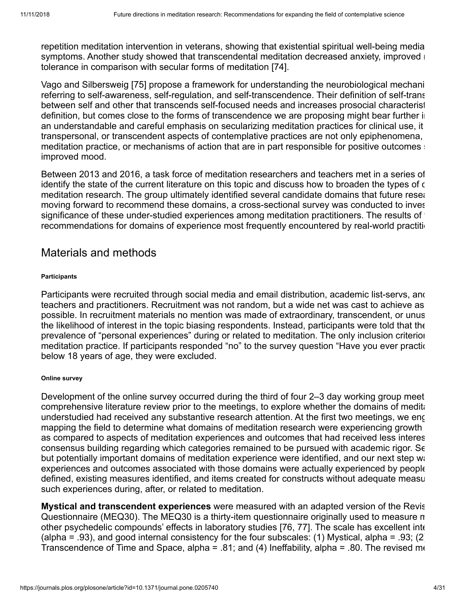repetition meditation intervention in veterans, showing that existential spiritual well-being media symptoms. Another study showed that transcendental meditation decreased anxiety, improved  $\blacksquare$ tolerance in comparison with secular forms of meditation [[74\]](#page-22-7).

Vago and Silbersweig [[75](#page-22-8)] propose a framework for understanding the neurobiological mechani referring to self-awareness, self-regulation, and self-transcendence. Their definition of self-trans between self and other that transcends self-focused needs and increases prosocial characterist definition, but comes close to the forms of transcendence we are proposing might bear further in an understandable and careful emphasis on secularizing meditation practices for clinical use, it transpersonal, or transcendent aspects of contemplative practices are not only epiphenomena, meditation practice, or mechanisms of action that are in part responsible for positive outcomes : improved mood.

Between 2013 and 2016, a task force of meditation researchers and teachers met in a series of identify the state of the current literature on this topic and discuss how to broaden the types of c meditation research. The group ultimately identified several candidate domains that future researmoving forward to recommend these domains, a cross-sectional survey was conducted to inves significance of these under-studied experiences among meditation practitioners. The results of recommendations for domains of experience most frequently encountered by real-world practition

## Materials and methods

## **Participants**

Participants were recruited through social media and email distribution, academic list-servs, and teachers and practitioners. Recruitment was not random, but a wide net was cast to achieve as possible. In recruitment materials no mention was made of extraordinary, transcendent, or unus the likelihood of interest in the topic biasing respondents. Instead, participants were told that the prevalence of "personal experiences" during or related to meditation. The only inclusion criterion meditation practice. If participants responded "no" to the survey question "Have you ever practic below 18 years of age, they were excluded.

## **Online survey**

Development of the online survey occurred during the third of four 2–3 day working group meet comprehensive literature review prior to the meetings, to explore whether the domains of meditaunderstudied had received any substantive research attention. At the first two meetings, we eng mapping the field to determine what domains of meditation research were experiencing growth as compared to aspects of meditation experiences and outcomes that had received less interes consensus building regarding which categories remained to be pursued with academic rigor. Se but potentially important domains of meditation experience were identified, and our next step wat experiences and outcomes associated with those domains were actually experienced by people defined, existing measures identified, and items created for constructs without adequate measu such experiences during, after, or related to meditation.

**Mystical and transcendent experiences** were measured with an adapted version of the Revis Questionnaire (MEQ30). The MEQ30 is a thirty-item questionnaire originally used to measure m other psychedelic compounds' effects in laboratory studies [[76](#page-22-9), [77](#page-22-10)]. The scale has excellent inte (alpha = .93), and good internal consistency for the four subscales: (1) Mystical, alpha = .93; (2) Transcendence of Time and Space, alpha = .81; and (4) Ineffability, alpha = .80. The revised me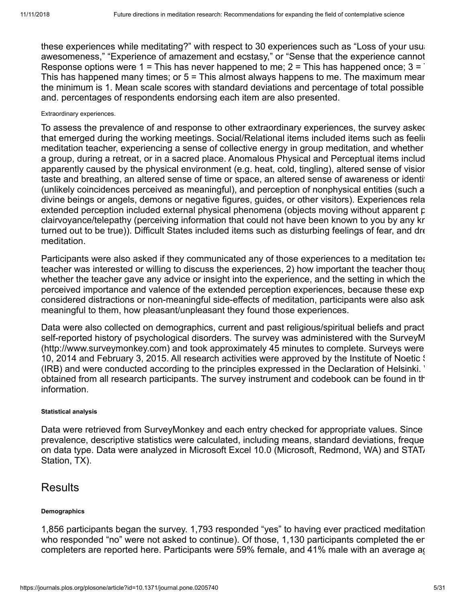these experiences while meditating?" with respect to 30 experiences such as "Loss of your usual awesomeness," "Experience of amazement and ecstasy," or "Sense that the experience cannot Response options were 1 = This has never happened to me; 2 = This has happened once;  $3 = 7$ This has happened many times; or  $5 =$  This almost always happens to me. The maximum mear the minimum is 1. Mean scale scores with standard deviations and percentage of total possible and. percentages of respondents endorsing each item are also presented.

### Extraordinary experiences.

To assess the prevalence of and response to other extraordinary experiences, the survey asked that emerged during the working meetings. Social/Relational items included items such as feelin meditation teacher, experiencing a sense of collective energy in group meditation, and whether a group, during a retreat, or in a sacred place. Anomalous Physical and Perceptual items includ apparently caused by the physical environment (e.g. heat, cold, tingling), altered sense of vision taste and breathing, an altered sense of time or space, an altered sense of awareness or identit (unlikely coincidences perceived as meaningful), and perception of nonphysical entities (such a divine beings or angels, demons or negative figures, guides, or other visitors). Experiences rela extended perception included external physical phenomena (objects moving without apparent p clairvoyance/telepathy (perceiving information that could not have been known to you by any kr turned out to be true)). Difficult States included items such as disturbing feelings of fear, and dre meditation.

Participants were also asked if they communicated any of those experiences to a meditation tea teacher was interested or willing to discuss the experiences, 2) how important the teacher thoug whether the teacher gave any advice or insight into the experience, and the setting in which the perceived importance and valence of the extended perception experiences, because these exp considered distractions or non-meaningful side-effects of meditation, participants were also ask meaningful to them, how pleasant/unpleasant they found those experiences.

Data were also collected on demographics, current and past religious/spiritual beliefs and pract self-reported history of psychological disorders. The survey was administered with the SurveyM ([http://www.surveymonkey.com](http://www.surveymonkey.com/)) and took approximately 45 minutes to complete. Surveys were 10, 2014 and February 3, 2015. All research activities were approved by the Institute of Noetic S (IRB) and were conducted according to the principles expressed in the [Declaration of Helsinki](http://www.wma.net/en/30publications/10policies/b3/index.html). obtained from all research participants. The survey instrument and codebook can be found in th information.

## **Statistical analysis**

Data were retrieved from SurveyMonkey and each entry checked for appropriate values. Since prevalence, descriptive statistics were calculated, including means, standard deviations, freque on data type. Data were analyzed in Microsoft Excel 10.0 (Microsoft, Redmond, WA) and STAT. Station, TX).

# **Results**

## **Demographics**

1,856 participants began the survey. 1,793 responded "yes" to having ever practiced meditation who responded "no" were not asked to continue). Of those, 1,130 participants completed the en completers are reported here. Participants were 59% female, and 41% male with an average ag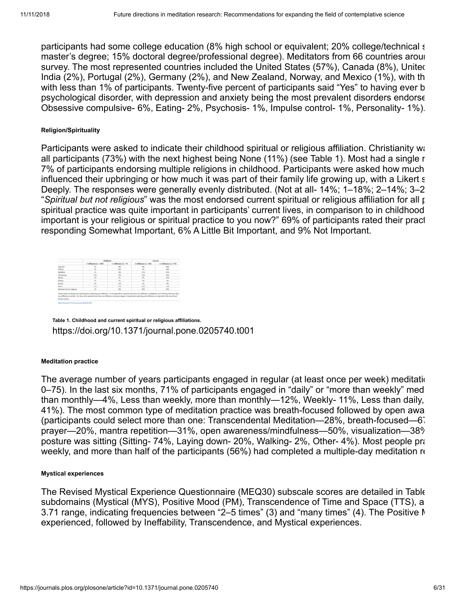participants had some college education (8% high school or equivalent; 20% college/technical s master's degree; 15% doctoral degree/professional degree). Meditators from 66 countries aroun survey. The most represented countries included the United States (57%), Canada (8%), United India (2%), Portugal (2%), Germany (2%), and New Zealand, Norway, and Mexico (1%), with th with less than 1% of participants. Twenty-five percent of participants said "Yes" to having ever b psychological disorder, with depression and anxiety being the most prevalent disorders endorse Obsessive compulsive- 6%, Eating- 2%, Psychosis- 1%, Impulse control- 1%, Personality- 1%).

## **Religion/Spirituality**

Participants were asked to indicate their childhood spiritual or religious affiliation. Christianity ware all participants (73%) with the next highest being None (11%) (see [Table 1](#page-5-0)). Most had a single r 7% of participants endorsing multiple religions in childhood. Participants were asked how much influenced their upbringing or how much it was part of their family life growing up, with a Likert s Deeply. The responses were generally evenly distributed. (Not at all- 14%; 1–18%; 2–14%; 3–2 "*Spiritual but not religious*" was the most endorsed current spiritual or religious affiliation for all p spiritual practice was quite important in participants' current lives, in comparison to in childhood important is your religious or spiritual practice to you now?" 69% of participants rated their pract responding Somewhat Important, 6% A Little Bit Important, and 9% Not Important.

<span id="page-5-0"></span>

|                             | <b>Childhood</b>         |                            | Carryat                  |                            |  |
|-----------------------------|--------------------------|----------------------------|--------------------------|----------------------------|--|
|                             | 1 Affiliation (a = 1947) | $>1$ Additivation (n = 73) | 1 Affiliation (s.c. 944) | $>1$ Affiliation (a = 176) |  |
| Agnostic                    | $3\%$                    | 38%                        | 476                      | 28%                        |  |
| Afferint                    | 456                      | 36%                        | 3%                       | 14%                        |  |
| Boddhist                    | 156                      | 14%                        | 11%                      | 62%                        |  |
| Christianity                | 73%                      | 25%                        | 15%                      | 49%                        |  |
| Hindu                       | 25                       | 7%                         | 196                      | 11%                        |  |
| <b>Manic</b>                | 156                      | 15                         | 156                      | 2%                         |  |
| <b>Sewish</b>               | 256                      | 11%                        | $1\%$                    | ys.                        |  |
| News                        | II%                      | 15%                        | 14%                      | 14%                        |  |
| Spiritual but not religious | $5\%$                    | 29%                        | ses.                     | San.                       |  |

**Table 1. Childhood and current spiritual or religious affiliations.** <https://doi.org/10.1371/journal.pone.0205740.t001>

## **Meditation practice**

The average number of years participants engaged in regular (at least once per week) meditation 0–75). In the last six months, 71% of participants engaged in "daily" or "more than weekly" med than monthly—4%, Less than weekly, more than monthly—12%, Weekly- 11%, Less than daily, 41%). The most common type of meditation practice was breath-focused followed by open awa (participants could select more than one: Transcendental Meditation—28%, breath-focused—67 prayer—20%, mantra repetition—31%, open awareness/mindfulness—50%, visualization—38% posture was sitting (Sitting- 74%, Laying down- 20%, Walking- 2%, Other- 4%). Most people pra weekly, and more than half of the participants (56%) had completed a multiple-day meditation re

## **Mystical experiences**

<span id="page-5-1"></span>The Revised Mystical Experience Questionnaire (MEQ30) subscale scores are detailed in [Table](#page-5-1) subdomains (Mystical (MYS), Positive Mood (PM), Transcendence of Time and Space (TTS), a 3.71 range, indicating frequencies between "2–5 times" (3) and "many times" (4). The Positive M experienced, followed by Ineffability, Transcendence, and Mystical experiences.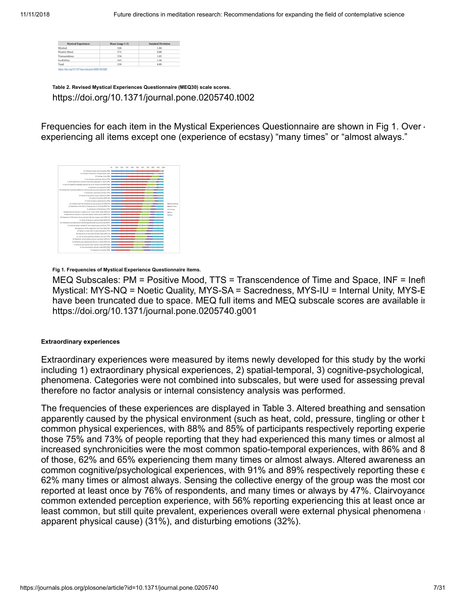| <b>Mystical Experiences</b> | Mean (range 1-5) | <b>Standard Deviation</b> |
|-----------------------------|------------------|---------------------------|
| Mystical                    | 3.26             | 1.04                      |
| Positive Mood               | 3.71             | 0.80                      |
| Transcendence               | 3.34             | 1.03                      |
| Ineffability                | 3.62             | 1.08                      |
| Total                       | 3.39             | 0.89                      |

**Table 2. Revised Mystical Experiences Questionnaire (MEQ30) scale scores.** <https://doi.org/10.1371/journal.pone.0205740.t002>

Frequencies for each item in the Mystical Experiences Questionnaire are shown in [Fig 1.](#page-6-0) Over  $\cdot$ experiencing all items except one (experience of ecstasy) "many times" or "almost always."

<span id="page-6-0"></span>

**Fig 1. Frequencies of Mystical Experience Questionnaire items.**

MEQ Subscales: PM = Positive Mood, TTS = Transcendence of Time and Space, INF = Ineff Mystical: MYS-NQ = Noetic Quality, MYS-SA = Sacredness, MYS-IU = Internal Unity, MYS-E have been truncated due to space. MEQ full items and MEQ subscale scores are available in <https://doi.org/10.1371/journal.pone.0205740.g001>

### **Extraordinary experiences**

Extraordinary experiences were measured by items newly developed for this study by the worki including 1) extraordinary physical experiences, 2) spatial-temporal, 3) cognitive-psychological, phenomena. Categories were not combined into subscales, but were used for assessing preval therefore no factor analysis or internal consistency analysis was performed.

<span id="page-6-1"></span>The frequencies of these experiences are displayed in [Table 3](#page-6-1). Altered breathing and sensation apparently caused by the physical environment (such as heat, cold, pressure, tingling or other k common physical experiences, with 88% and 85% of participants respectively reporting experie those 75% and 73% of people reporting that they had experienced this many times or almost al increased synchronicities were the most common spatio-temporal experiences, with 86% and 8 of those, 62% and 65% experiencing them many times or almost always. Altered awareness an common cognitive/psychological experiences, with 91% and 89% respectively reporting these e 62% many times or almost always. Sensing the collective energy of the group was the most cor reported at least once by 76% of respondents, and many times or always by 47%. Clairvoyance common extended perception experience, with 56% reporting experiencing this at least once an least common, but still quite prevalent, experiences overall were external physical phenomena apparent physical cause) (31%), and disturbing emotions (32%).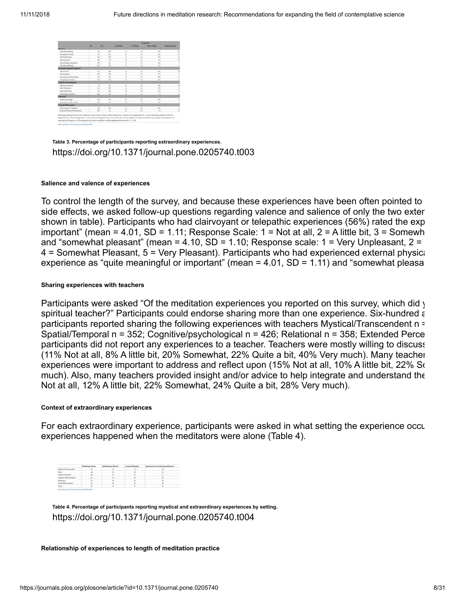|                                         |               |                          |                          |                          | Evepsency         |               |
|-----------------------------------------|---------------|--------------------------|--------------------------|--------------------------|-------------------|---------------|
|                                         | No.           | Yes                      | <b>Clear Time</b>        | <b>J-S Times</b>         | <b>Many Times</b> | Almost Always |
| <b>Bridges</b>                          |               |                          |                          |                          |                   |               |
| Altered breathing                       | 12            | $\overline{a}$           | ž                        | 12                       | 42                | 33            |
| Sensations in body                      | 15            | 85                       | ł                        | $\mathbf{u}$             | $\overline{16}$   | 17            |
| Altered hearing                         | $\frac{1}{2}$ | 30                       | ž                        | $\overline{z}$           | $\mathbf{10}$     | 12            |
| Altered vision                          | 18            | 72                       | ×                        | 32                       | 33                | 10            |
| Allymed body semudians.                 | 10            | 48                       | s                        | 23                       | $\overline{36}$   |               |
| Allered unalitate                       | AN            | M                        | v.                       | ×                        | 11                |               |
| nomalous Spatial-Temporal               |               |                          |                          |                          |                   |               |
| Alternal time                           | 14            | M                        | ¢                        | $\mathbb{R}^n$           | 46                | $^{18}$       |
| Altered space                           | 40            | 6h                       | ś                        | 'n                       | 20                |               |
| Increased weichesenicities.             | 18            | k2                       | ž                        | <b>IS</b>                | $\overline{a}$    | 17            |
| Nonphysical entities                    | 40            | $\overline{a}$           | š                        | $\mathbf{z}$             | $_{36}$           |               |
| <b><i><u>Industrial Weiters</u></i></b> |               |                          |                          |                          |                   |               |
| Altered awareness.                      | ٠             | $^{46}$                  | ×                        | $\overline{\phantom{a}}$ | $+9$              | 18            |
| Alta! Moments                           | $\mathbf{H}$  | $\mathbf{a}$             | ŝ                        | 34                       | <b>SS</b>         |               |
| Altered identity                        | 16            | 48                       | ۱                        | $\overline{a}$           | 15                |               |
| Disturbing emotions                     | $\sim$        | $\overline{10}$          | $\ddot{v}$               | 16                       | ÷                 |               |
| <b>Banadzah</b>                         |               |                          |                          |                          |                   |               |
| Collective energy                       | 24            | $\overline{\phantom{a}}$ | á.                       | $_{23}$                  | $^{16}$           |               |
| Connection with teacher                 | o             | 53                       | $\overline{\phantom{a}}$ | <b>KT</b>                | 15                |               |
| <b>District Phenomena</b>               |               |                          |                          |                          |                   |               |
| Clairvowance/ Telepathy                 | 44            | M                        | s.                       | ×                        | 36                |               |
| External Physical Phenomena             | 49            | 34                       | ×.                       | w                        |                   |               |

**Table 3. Percentage of participants reporting extraordinary experiences.** <https://doi.org/10.1371/journal.pone.0205740.t003>

#### **Salience and valence of experiences**

To control the length of the survey, and because these experiences have been often pointed to side effects, we asked follow-up questions regarding valence and salience of only the two exten shown in table). Participants who had clairvoyant or telepathic experiences (56%) rated the exp important" (mean = 4.01, SD = 1.11; Response Scale:  $1 = Not$  at all,  $2 = A$  little bit,  $3 = Somewh$ and "somewhat pleasant" (mean =  $4.10$ , SD =  $1.10$ ; Response scale:  $1 =$  Very Unpleasant,  $2 =$  $4$  = Somewhat Pleasant,  $5$  = Very Pleasant). Participants who had experienced external physic: experience as "quite meaningful or important" (mean = 4.01, SD = 1.11) and "somewhat pleasa

### **Sharing experiences with teachers**

Participants were asked "Of the meditation experiences you reported on this survey, which did y spiritual teacher?" Participants could endorse sharing more than one experience. Six-hundred a participants reported sharing the following experiences with teachers Mystical/Transcendent n = Spatial/Temporal n = 352; Cognitive/psychological n = 426; Relational n = 358; Extended Perce participants did not report any experiences to a teacher. Teachers were mostly willing to discuss (11% Not at all, 8% A little bit, 20% Somewhat, 22% Quite a bit, 40% Very much). Many teacher experiences were important to address and reflect upon (15% Not at all, 10% A little bit, 22% So much). Also, many teachers provided insight and/or advice to help integrate and understand the Not at all, 12% A little bit, 22% Somewhat, 24% Quite a bit, 28% Very much).

### **Context of extraordinary experiences**

For each extraordinary experience, participants were asked in what setting the experience occu experiences happened when the meditators were alone [\(Table 4\)](#page-7-0).

<span id="page-7-0"></span>

|                       | <b>Meditating Alone</b> | dies at Return | <b>Concess Modification</b> | <b>Snowianovers (not during meditation)</b> |
|-----------------------|-------------------------|----------------|-----------------------------|---------------------------------------------|
| Mentical/Transcendent |                         |                |                             |                                             |
| Body                  |                         | 13             |                             | h                                           |
| Spatial/Temporal      |                         |                |                             |                                             |
| holpelodoptive inter- |                         |                |                             |                                             |
| Relational            | <b>YI</b>               |                |                             |                                             |
| Extended perception   | g 1                     |                |                             |                                             |
| Total                 |                         | 14             |                             |                                             |

**Table 4. Percentage of participants reporting mystical and extraordinary experiences by setting.** <https://doi.org/10.1371/journal.pone.0205740.t004>

#### **Relationship of experiences to length of meditation practice**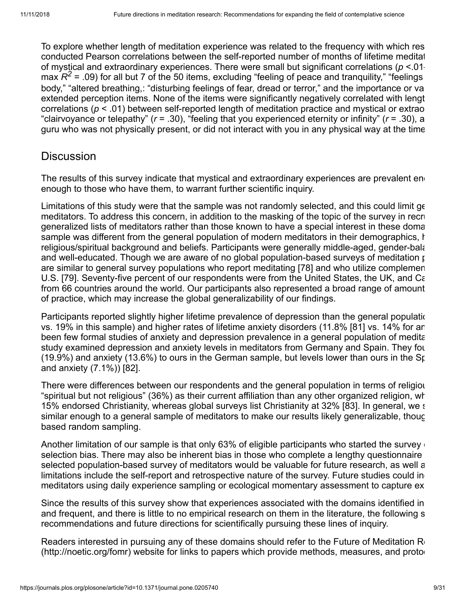To explore whether length of meditation experience was related to the frequency with which res conducted Pearson correlations between the self-reported number of months of lifetime meditat of mystical and extraordinary experiences. There were small but significant correlations (*p* <.01 max  $R^2$  = .09) for all but 7 of the 50 items, excluding "feeling of peace and tranquility," "feelings body," "altered breathing,: "disturbing feelings of fear, dread or terror," and the importance or va extended perception items. None of the items were significantly negatively correlated with lengt correlations (*p* < .01) between self-reported length of meditation practice and mystical or extrao "clairvoyance or telepathy" (*r* = .30), "feeling that you experienced eternity or infinity" (*r* = .30), a guru who was not physically present, or did not interact with you in any physical way at the time

# **Discussion**

The results of this survey indicate that mystical and extraordinary experiences are prevalent end enough to those who have them, to warrant further scientific inquiry.

Limitations of this study were that the sample was not randomly selected, and this could limit ge meditators. To address this concern, in addition to the masking of the topic of the survey in recru generalized lists of meditators rather than those known to have a special interest in these doma sample was different from the general population of modern meditators in their demographics, h religious/spiritual background and beliefs. Participants were generally middle-aged, gender-bala and well-educated. Though we are aware of no global population-based surveys of meditation  $\mu$ are similar to general survey populations who report meditating [[78](#page-23-0)] and who utilize complemen U.S. [[79\]](#page-23-1). Seventy-five percent of our respondents were from the United States, the UK, and Ca from 66 countries around the world. Our participants also represented a broad range of amount of practice, which may increase the global generalizability of our findings.

Participants reported slightly higher lifetime prevalence of depression than the general populationvs. 19% in this sample) and higher rates of lifetime anxiety disorders (11.8% [\[81](#page-23-2)] vs. 14% for an been few formal studies of anxiety and depression prevalence in a general population of medita study examined depression and anxiety levels in meditators from Germany and Spain. They fou (19.9%) and anxiety (13.6%) to ours in the German sample, but levels lower than ours in the Sp and anxiety (7.1%)) [\[82](#page-23-3)].

There were differences between our respondents and the general population in terms of religiou "spiritual but not religious" (36%) as their current affiliation than any other organized religion, wh 15% endorsed Christianity, whereas global surveys list Christianity at 32% [\[83](#page-23-4)]. In general, we s similar enough to a general sample of meditators to make our results likely generalizable, thoug based random sampling.

Another limitation of our sample is that only 63% of eligible participants who started the survey of selection bias. There may also be inherent bias in those who complete a lengthy questionnaire selected population-based survey of meditators would be valuable for future research, as well a limitations include the self-report and retrospective nature of the survey. Future studies could in meditators using daily experience sampling or ecological momentary assessment to capture ex

Since the results of this survey show that experiences associated with the domains identified in and frequent, and there is little to no empirical research on them in the literature, the following s recommendations and future directions for scientifically pursuing these lines of inquiry.

Readers interested in pursuing any of these domains should refer to the Future of Meditation Re (<http://noetic.org/fomr>) website for links to papers which provide methods, measures, and protoc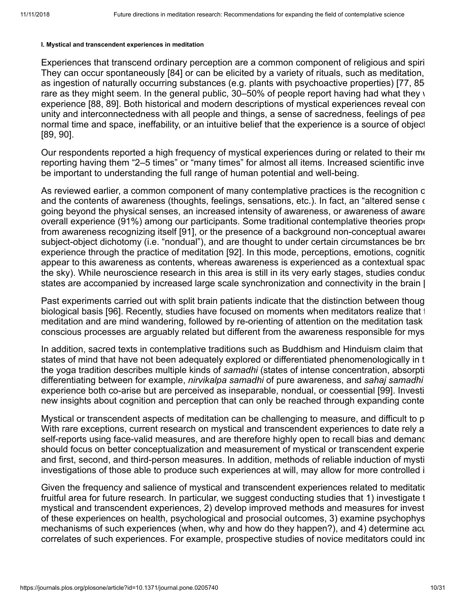### **I. Mystical and transcendent experiences in meditation**

Experiences that transcend ordinary perception are a common component of religious and spiri They can occur spontaneously [[84\]](#page-23-5) or can be elicited by a variety of rituals, such as meditation, as ingestion of naturally occurring substances (e.g. plants with psychoactive properties) [[77,](#page-22-10) [85–](#page-23-6) rare as they might seem. In the general public,  $30-50\%$  of people report having had what they y experience [\[88](#page-23-7), [89](#page-23-8)]. Both historical and modern descriptions of mystical experiences reveal com unity and interconnectedness with all people and things, a sense of sacredness, feelings of pea normal time and space, ineffability, or an intuitive belief that the experience is a source of object [\[89](#page-23-8), [90](#page-23-9)].

Our respondents reported a high frequency of mystical experiences during or related to their me reporting having them "2–5 times" or "many times" for almost all items. Increased scientific inve be important to understanding the full range of human potential and well-being.

As reviewed earlier, a common component of many contemplative practices is the recognition o and the contents of awareness (thoughts, feelings, sensations, etc.). In fact, an "altered sense of going beyond the physical senses, an increased intensity of awareness, or awareness of aware overall experience (91%) among our participants. Some traditional contemplative theories propo from awareness recognizing itself [\[91](#page-23-10)], or the presence of a background non-conceptual awaren subject-object dichotomy (i.e. "nondual"), and are thought to under certain circumstances be bro experience through the practice of meditation [[92](#page-23-11)]. In this mode, perceptions, emotions, cognitic appear to this awareness as contents, whereas awareness is experienced as a contextual spac the sky). While neuroscience research in this area is still in its very early stages, studies conduc states are accompanied by increased large scale synchronization and connectivity in the brain [

Past experiments carried out with split brain patients indicate that the distinction between thoug biological basis [[96](#page-24-0)]. Recently, studies have focused on moments when meditators realize that t meditation and are mind wandering, followed by re-orienting of attention on the meditation task conscious processes are arguably related but different from the awareness responsible for mys

In addition, sacred texts in contemplative traditions such as Buddhism and Hinduism claim that states of mind that have not been adequately explored or differentiated phenomenologically in t the yoga tradition describes multiple kinds of *samadhi* (states of intense concentration, absorpti differentiating between for example, *nirvikalpa samadhi* of pure awareness, and *sahaj samadhi* experience both co-arise but are perceived as inseparable, nondual, or coessential [\[99\]](#page-24-1). Investi new insights about cognition and perception that can only be reached through expanding conte

Mystical or transcendent aspects of meditation can be challenging to measure, and difficult to p With rare exceptions, current research on mystical and transcendent experiences to date rely a self-reports using face-valid measures, and are therefore highly open to recall bias and demand should focus on better conceptualization and measurement of mystical or transcendent experie and first, second, and third-person measures. In addition, methods of reliable induction of mysti investigations of those able to produce such experiences at will, may allow for more controlled i

Given the frequency and salience of mystical and transcendent experiences related to meditatic fruitful area for future research. In particular, we suggest conducting studies that 1) investigate t mystical and transcendent experiences, 2) develop improved methods and measures for invest of these experiences on health, psychological and prosocial outcomes, 3) examine psychophys mechanisms of such experiences (when, why and how do they happen?), and 4) determine acu correlates of such experiences. For example, prospective studies of novice meditators could inc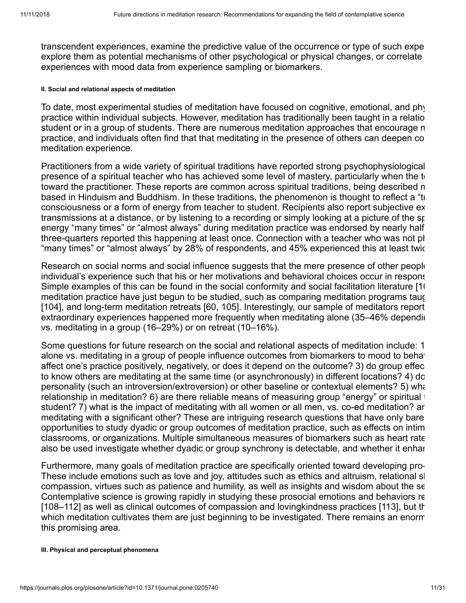transcendent experiences, examine the predictive value of the occurrence or type of such expe explore them as potential mechanisms of other psychological or physical changes, or correlate experiences with mood data from experience sampling or biomarkers.

### **II. Social and relational aspects of meditation**

To date, most experimental studies of meditation have focused on cognitive, emotional, and phy practice within individual subjects. However, meditation has traditionally been taught in a relatio student or in a group of students. There are numerous meditation approaches that encourage m practice, and individuals often find that that meditating in the presence of others can deepen co meditation experience.

Practitioners from a wide variety of spiritual traditions have reported strong psychophysiological presence of a spiritual teacher who has achieved some level of mastery, particularly when the tetoward the practitioner. These reports are common across spiritual traditions, being described m based in Hinduism and Buddhism. In these traditions, the phenomenon is thought to reflect a "tr consciousness or a form of energy from teacher to student. Recipients also report subjective ex transmissions at a distance, or by listening to a recording or simply looking at a picture of the sp energy "many times" or "almost always" during meditation practice was endorsed by nearly half three-quarters reported this happening at least once. Connection with a teacher who was not ph "many times" or "almost always" by 28% of respondents, and 45% experienced this at least twic

Research on social norms and social influence suggests that the mere presence of other people individual's experience such that his or her motivations and behavioral choices occur in respons Simple examples of this can be found in the social conformity and social facilitation literature [[10](#page-24-2) meditation practice have just begun to be studied, such as comparing meditation programs taug [\[104](#page-24-3)], and long-term meditation retreats [[60](#page-21-8), [105\]](#page-24-4). Interestingly, our sample of meditators report extraordinary experiences happened more frequently when meditating alone (35–46% dependin vs. meditating in a group (16–29%) or on retreat (10–16%).

Some questions for future research on the social and relational aspects of meditation include: 1 alone vs. meditating in a group of people influence outcomes from biomarkers to mood to behav affect one's practice positively, negatively, or does it depend on the outcome? 3) do group effec to know others are meditating at the same time (or asynchronously) in different locations? 4) do personality (such an introversion/extroversion) or other baseline or contextual elements? 5) what relationship in meditation? 6) are there reliable means of measuring group "energy" or spiritual t student? 7) what is the impact of meditating with all women or all men, vs. co-ed meditation? ar meditating with a significant other? These are intriguing research questions that have only bare opportunities to study dyadic or group outcomes of meditation practice, such as effects on intim classrooms, or organizations. Multiple simultaneous measures of biomarkers such as heart rate also be used investigate whether dyadic or group synchrony is detectable, and whether it enhan

Furthermore, many goals of meditation practice are specifically oriented toward developing pro-These include emotions such as love and joy, attitudes such as ethics and altruism, relational sk compassion, virtues such as patience and humility, as well as insights and wisdom about the se Contemplative science is growing rapidly in studying these prosocial emotions and behaviors re [\[108](#page-25-0)[–112](#page-25-1)] as well as clinical outcomes of compassion and lovingkindness practices [\[113](#page-25-2)], but th which meditation cultivates them are just beginning to be investigated. There remains an enorm this promising area.

### **III. Physical and perceptual phenomena**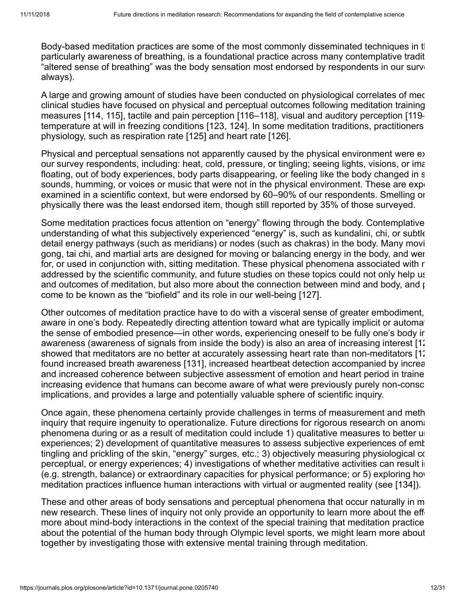Body-based meditation practices are some of the most commonly disseminated techniques in the particularly awareness of breathing, is a foundational practice across many contemplative tradit "altered sense of breathing" was the body sensation most endorsed by respondents in our surve always).

A large and growing amount of studies have been conducted on physiological correlates of mec clinical studies have focused on physical and perceptual outcomes following meditation training measures [\[114](#page-25-3), [115](#page-25-4)], tactile and pain perception [[116](#page-25-5)–[118\]](#page-26-0), visual and auditory perception [[119](#page-26-1)– temperature at will in freezing conditions [[123,](#page-26-2) [124](#page-26-3)]. In some meditation traditions, practitioners physiology, such as respiration rate [[125\]](#page-26-4) and heart rate [[126\]](#page-26-5).

Physical and perceptual sensations not apparently caused by the physical environment were ex our survey respondents, including: heat, cold, pressure, or tingling; seeing lights, visions, or ima floating, out of body experiences, body parts disappearing, or feeling like the body changed in s sounds, humming, or voices or music that were not in the physical environment. These are expert examined in a scientific context, but were endorsed by 60–90% of our respondents. Smelling or physically there was the least endorsed item, though still reported by 35% of those surveyed.

Some meditation practices focus attention on "energy" flowing through the body. Contemplative understanding of what this subjectively experienced "energy" is, such as kundalini, chi, or subtle detail energy pathways (such as meridians) or nodes (such as chakras) in the body. Many movi gong, tai chi, and martial arts are designed for moving or balancing energy in the body, and wer for, or used in conjunction with, sitting meditation. These physical phenomena associated with r addressed by the scientific community, and future studies on these topics could not only help us and outcomes of meditation, but also more about the connection between mind and body, and  $\mu$ come to be known as the "biofield" and its role in our well-being [[127](#page-26-6)].

Other outcomes of meditation practice have to do with a visceral sense of greater embodiment, aware in one's body. Repeatedly directing attention toward what are typically implicit or automat the sense of embodied presence—in other words, experiencing oneself to be fully one's body in awareness (awareness of signals from inside the body) is also an area of increasing interest [[12](#page-26-7) showed that meditators are no better at accurately assessing heart rate than non-meditators [[12](#page-26-8)] found increased breath awareness [[131\]](#page-27-0), increased heartbeat detection accompanied by increa and increased coherence between subjective assessment of emotion and heart period in traine increasing evidence that humans can become aware of what were previously purely non-consc implications, and provides a large and potentially valuable sphere of scientific inquiry.

Once again, these phenomena certainly provide challenges in terms of measurement and meth inquiry that require ingenuity to operationalize. Future directions for rigorous research on anoma phenomena during or as a result of meditation could include 1) qualitative measures to better un experiences; 2) development of quantitative measures to assess subjective experiences of emb tingling and prickling of the skin, "energy" surges, etc.; 3) objectively measuring physiological co perceptual, or energy experiences; 4) investigations of whether meditative activities can result in (e.g. strength, balance) or extraordinary capacities for physical performance; or 5) exploring how meditation practices influence human interactions with virtual or augmented reality (see [[134\]](#page-27-1)).

These and other areas of body sensations and perceptual phenomena that occur naturally in m new research. These lines of inquiry not only provide an opportunity to learn more about the effect more about mind-body interactions in the context of the special training that meditation practice about the potential of the human body through Olympic level sports, we might learn more about together by investigating those with extensive mental training through meditation.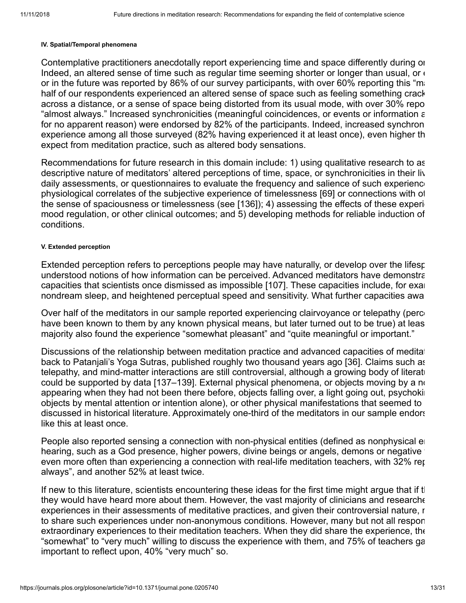#### **IV. Spatial/Temporal phenomena**

Contemplative practitioners anecdotally report experiencing time and space differently during or Indeed, an altered sense of time such as regular time seeming shorter or longer than usual, or  $\epsilon$ or in the future was reported by 86% of our survey participants, with over 60% reporting this "ma half of our respondents experienced an altered sense of space such as feeling something crack across a distance, or a sense of space being distorted from its usual mode, with over 30% repo "almost always." Increased synchronicities (meaningful coincidences, or events or information a for no apparent reason) were endorsed by 82% of the participants. Indeed, increased synchron experience among all those surveyed (82% having experienced it at least once), even higher th expect from meditation practice, such as altered body sensations.

Recommendations for future research in this domain include: 1) using qualitative research to as descriptive nature of meditators' altered perceptions of time, space, or synchronicities in their liv daily assessments, or questionnaires to evaluate the frequency and salience of such experience physiological correlates of the subjective experience of timelessness [\[69\]](#page-22-11) or connections with ot the sense of spaciousness or timelessness (see  $[136]$  $[136]$ ); 4) assessing the effects of these experi mood regulation, or other clinical outcomes; and 5) developing methods for reliable induction of conditions.

### **V. Extended perception**

Extended perception refers to perceptions people may have naturally, or develop over the lifesp understood notions of how information can be perceived. Advanced meditators have demonstra capacities that scientists once dismissed as impossible [[107](#page-25-6)]. These capacities include, for exal nondream sleep, and heightened perceptual speed and sensitivity. What further capacities awa

Over half of the meditators in our sample reported experiencing clairvoyance or telepathy (perce have been known to them by any known physical means, but later turned out to be true) at leas majority also found the experience "somewhat pleasant" and "quite meaningful or important."

Discussions of the relationship between meditation practice and advanced capacities of meditat back to Patanjali's Yoga Sutras, published roughly two thousand years ago [\[36](#page-20-9)]. Claims such as telepathy, and mind-matter interactions are still controversial, although a growing body of literatu could be supported by data [[137](#page-27-3)[–139](#page-27-4)]. External physical phenomena, or objects moving by a no appearing when they had not been there before, objects falling over, a light going out, psychoking objects by mental attention or intention alone), or other physical manifestations that seemed to discussed in historical literature. Approximately one-third of the meditators in our sample endors like this at least once.

People also reported sensing a connection with non-physical entities (defined as nonphysical en hearing, such as a God presence, higher powers, divine beings or angels, demons or negative even more often than experiencing a connection with real-life meditation teachers, with 32% rep always", and another 52% at least twice.

If new to this literature, scientists encountering these ideas for the first time might argue that if the they would have heard more about them. However, the vast majority of clinicians and researche experiences in their assessments of meditative practices, and given their controversial nature, r to share such experiences under non-anonymous conditions. However, many but not all respon extraordinary experiences to their meditation teachers. When they did share the experience, the "somewhat" to "very much" willing to discuss the experience with them, and 75% of teachers ga important to reflect upon, 40% "very much" so.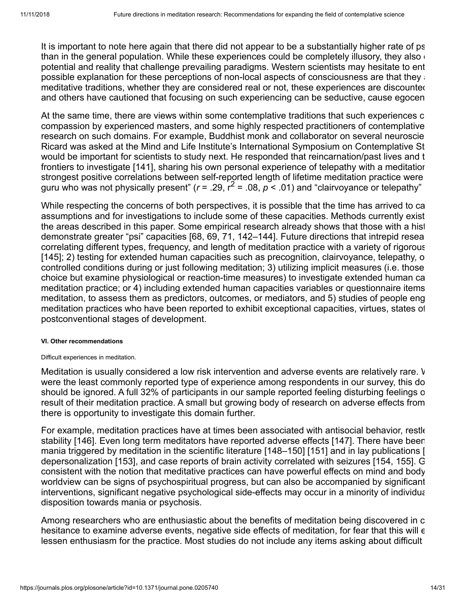It is important to note here again that there did not appear to be a substantially higher rate of ps than in the general population. While these experiences could be completely illusory, they also  $\epsilon$ potential and reality that challenge prevailing paradigms. Western scientists may hesitate to ent possible explanation for these perceptions of non-local aspects of consciousness are that they  $\alpha$ meditative traditions, whether they are considered real or not, these experiences are discounted and others have cautioned that focusing on such experiencing can be seductive, cause egocen

At the same time, there are views within some contemplative traditions that such experiences c compassion by experienced masters, and some highly respected practitioners of contemplative research on such domains. For example, Buddhist monk and collaborator on several neuroscie Ricard was asked at the Mind and Life Institute's International Symposium on Contemplative St would be important for scientists to study next. He responded that reincarnation/past lives and t frontiers to investigate [[141](#page-27-5)], sharing his own personal experience of telepathy with a meditation strongest positive correlations between self-reported length of lifetime meditation practice were guru who was not physically present"  $(r = .29, r^2 = .08, p < .01)$  and "clairvoyance or telepathy"

While respecting the concerns of both perspectives, it is possible that the time has arrived to ca assumptions and for investigations to include some of these capacities. Methods currently exist the areas described in this paper. Some empirical research already shows that those with a hist demonstrate greater "psi" capacities [[68](#page-22-3), [69](#page-22-11), [71](#page-22-4), [142](#page-27-6)–[144\]](#page-27-7). Future directions that intrepid resea correlating different types, frequency, and length of meditation practice with a variety of rigorous [\[145](#page-28-0)]; 2) testing for extended human capacities such as precognition, clairvoyance, telepathy, o controlled conditions during or just following meditation; 3) utilizing implicit measures (i.e. those choice but examine physiological or reaction-time measures) to investigate extended human ca meditation practice; or 4) including extended human capacities variables or questionnaire items meditation, to assess them as predictors, outcomes, or mediators, and 5) studies of people eng meditation practices who have been reported to exhibit exceptional capacities, virtues, states of postconventional stages of development.

## **VI. Other recommendations**

### Difficult experiences in meditation.

Meditation is usually considered a low risk intervention and adverse events are relatively rare. W were the least commonly reported type of experience among respondents in our survey, this do should be ignored. A full 32% of participants in our sample reported feeling disturbing feelings o result of their meditation practice. A small but growing body of research on adverse effects from there is opportunity to investigate this domain further.

For example, meditation practices have at times been associated with antisocial behavior, restle stability [\[146](#page-28-1)]. Even long term meditators have reported adverse effects [\[147](#page-28-2)]. There have been mania triggered by meditation in the scientific literature [[148](#page-28-3)[–150\]](#page-28-4) [\[151\]](#page-28-5) and in lay publications [ depersonalization [\[153\]](#page-28-6), and case reports of brain activity correlated with seizures [\[154,](#page-28-7) [155](#page-28-8)]. G consistent with the notion that meditative practices can have powerful effects on mind and body worldview can be signs of psychospiritual progress, but can also be accompanied by significant interventions, significant negative psychological side-effects may occur in a minority of individua disposition towards mania or psychosis.

Among researchers who are enthusiastic about the benefits of meditation being discovered in c hesitance to examine adverse events, negative side effects of meditation, for fear that this will e lessen enthusiasm for the practice. Most studies do not include any items asking about difficult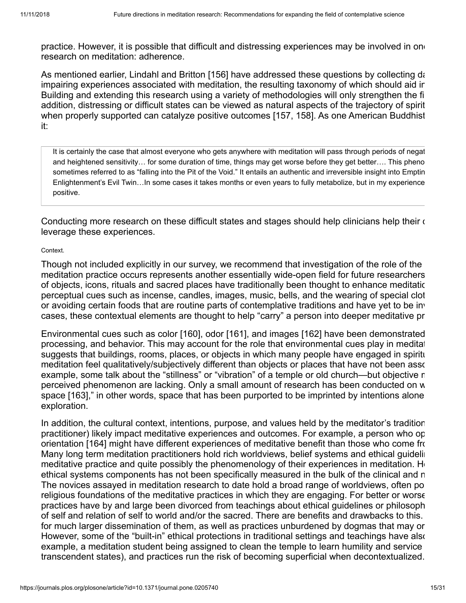practice. However, it is possible that difficult and distressing experiences may be involved in one research on meditation: adherence.

As mentioned earlier, Lindahl and Britton [[156\]](#page-28-9) have addressed these questions by collecting da impairing experiences associated with meditation, the resulting taxonomy of which should aid in Building and extending this research using a variety of methodologies will only strengthen the fi addition, distressing or difficult states can be viewed as natural aspects of the trajectory of spirit when properly supported can catalyze positive outcomes [[157](#page-28-10), [158\]](#page-28-11). As one American Buddhist it:

It is certainly the case that almost everyone who gets anywhere with meditation will pass through periods of negat and heightened sensitivity… for some duration of time, things may get worse before they get better…. This pheno sometimes referred to as "falling into the Pit of the Void." It entails an authentic and irreversible insight into Emptin Enlightenment's Evil Twin…In some cases it takes months or even years to fully metabolize, but in my experience positive.

Conducting more research on these difficult states and stages should help clinicians help their c leverage these experiences.

### Context.

Though not included explicitly in our survey, we recommend that investigation of the role of the meditation practice occurs represents another essentially wide-open field for future researchers of objects, icons, rituals and sacred places have traditionally been thought to enhance meditatio perceptual cues such as incense, candles, images, music, bells, and the wearing of special clot or avoiding certain foods that are routine parts of contemplative traditions and have yet to be inv cases, these contextual elements are thought to help "carry" a person into deeper meditative pr

Environmental cues such as color [[160](#page-29-0)], odor [[161\]](#page-29-1), and images [\[162](#page-29-2)] have been demonstrated processing, and behavior. This may account for the role that environmental cues play in meditat suggests that buildings, rooms, places, or objects in which many people have engaged in spiritu meditation feel qualitatively/subjectively different than objects or places that have not been asso example, some talk about the "stillness" or "vibration" of a temple or old church—but objective m perceived phenomenon are lacking. Only a small amount of research has been conducted on w space [\[163](#page-29-3)]," in other words, space that has been purported to be imprinted by intentions alone exploration.

In addition, the cultural context, intentions, purpose, and values held by the meditator's tradition practitioner) likely impact meditative experiences and outcomes. For example, a person who op orientation [\[164](#page-29-4)] might have different experiences of meditative benefit than those who come from Many long term meditation practitioners hold rich worldviews, belief systems and ethical guidelin meditative practice and quite possibly the phenomenology of their experiences in meditation. He ethical systems components has not been specifically measured in the bulk of the clinical and n The novices assayed in meditation research to date hold a broad range of worldviews, often po religious foundations of the meditative practices in which they are engaging. For better or worse practices have by and large been divorced from teachings about ethical guidelines or philosoph of self and relation of self to world and/or the sacred. There are benefits and drawbacks to this. for much larger dissemination of them, as well as practices unburdened by dogmas that may or However, some of the "built-in" ethical protections in traditional settings and teachings have also example, a meditation student being assigned to clean the temple to learn humility and service transcendent states), and practices run the risk of becoming superficial when decontextualized.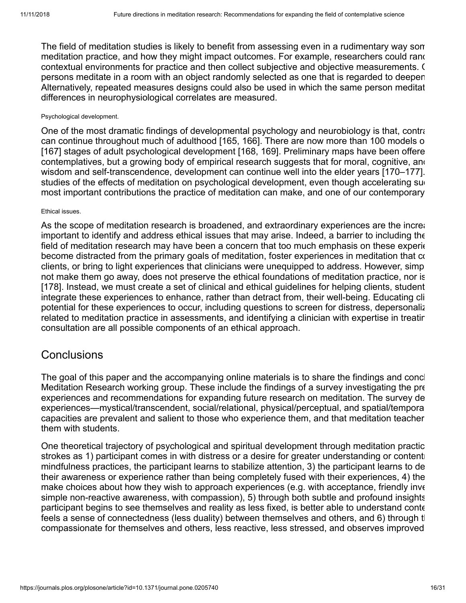The field of meditation studies is likely to benefit from assessing even in a rudimentary way som meditation practice, and how they might impact outcomes. For example, researchers could rand contextual environments for practice and then collect subjective and objective measurements. C persons meditate in a room with an object randomly selected as one that is regarded to deepen Alternatively, repeated measures designs could also be used in which the same person meditat differences in neurophysiological correlates are measured.

### Psychological development.

One of the most dramatic findings of developmental psychology and neurobiology is that, contra can continue throughout much of adulthood [\[165](#page-29-5), [166](#page-29-6)]. There are now more than 100 models o [\[167](#page-29-7)] stages of adult psychological development [[168](#page-29-8), [169\]](#page-29-9). Preliminary maps have been offere contemplatives, but a growing body of empirical research suggests that for moral, cognitive, and wisdom and self-transcendence, development can continue well into the elder years [\[170–](#page-29-10)[177](#page-30-0)]. studies of the effects of meditation on psychological development, even though accelerating surmost important contributions the practice of meditation can make, and one of our contemporary

## Ethical issues.

As the scope of meditation research is broadened, and extraordinary experiences are the increar important to identify and address ethical issues that may arise. Indeed, a barrier to including the field of meditation research may have been a concern that too much emphasis on these experie become distracted from the primary goals of meditation, foster experiences in meditation that co clients, or bring to light experiences that clinicians were unequipped to address. However, simp not make them go away, does not preserve the ethical foundations of meditation practice, nor is [\[178](#page-30-1)]. Instead, we must create a set of clinical and ethical guidelines for helping clients, student integrate these experiences to enhance, rather than detract from, their well-being. Educating cli potential for these experiences to occur, including questions to screen for distress, depersonaliz related to meditation practice in assessments, and identifying a clinician with expertise in treatin consultation are all possible components of an ethical approach.

# **Conclusions**

The goal of this paper and the accompanying online materials is to share the findings and concl Meditation Research working group. These include the findings of a survey investigating the pre experiences and recommendations for expanding future research on meditation. The survey de experiences—mystical/transcendent, social/relational, physical/perceptual, and spatial/tempora capacities are prevalent and salient to those who experience them, and that meditation teacher them with students.

One theoretical trajectory of psychological and spiritual development through meditation practic strokes as 1) participant comes in with distress or a desire for greater understanding or contenti mindfulness practices, the participant learns to stabilize attention, 3) the participant learns to de their awareness or experience rather than being completely fused with their experiences, 4) the make choices about how they wish to approach experiences (e.g. with acceptance, friendly inve simple non-reactive awareness, with compassion), 5) through both subtle and profound insights participant begins to see themselves and reality as less fixed, is better able to understand conte feels a sense of connectedness (less duality) between themselves and others, and 6) through the compassionate for themselves and others, less reactive, less stressed, and observes improved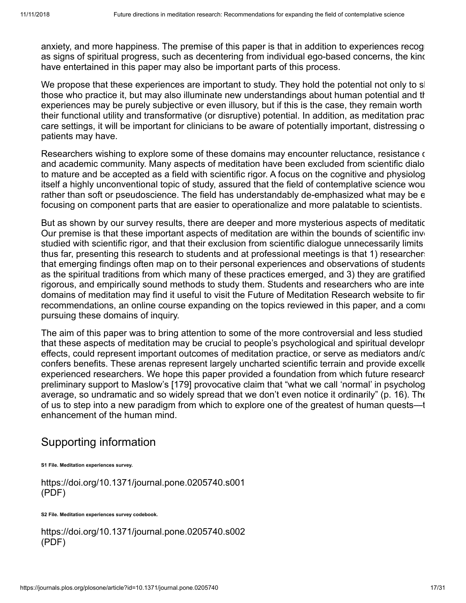anxiety, and more happiness. The premise of this paper is that in addition to experiences recoge as signs of spiritual progress, such as decentering from individual ego-based concerns, the kind have entertained in this paper may also be important parts of this process.

We propose that these experiences are important to study. They hold the potential not only to sh those who practice it, but may also illuminate new understandings about human potential and th experiences may be purely subjective or even illusory, but if this is the case, they remain worth their functional utility and transformative (or disruptive) potential. In addition, as meditation pract care settings, it will be important for clinicians to be aware of potentially important, distressing o patients may have.

Researchers wishing to explore some of these domains may encounter reluctance, resistance of and academic community. Many aspects of meditation have been excluded from scientific dialo to mature and be accepted as a field with scientific rigor. A focus on the cognitive and physiolog itself a highly unconventional topic of study, assured that the field of contemplative science wou rather than soft or pseudoscience. The field has understandably de-emphasized what may be e focusing on component parts that are easier to operationalize and more palatable to scientists.

But as shown by our survey results, there are deeper and more mysterious aspects of meditatic Our premise is that these important aspects of meditation are within the bounds of scientific inve studied with scientific rigor, and that their exclusion from scientific dialogue unnecessarily limits thus far, presenting this research to students and at professional meetings is that 1) researchers that emerging findings often map on to their personal experiences and observations of students as the spiritual traditions from which many of these practices emerged, and 3) they are gratified rigorous, and empirically sound methods to study them. Students and researchers who are inte domains of meditation may find it useful to visit the Future of Meditation Research website to fin recommendations, an online course expanding on the topics reviewed in this paper, and a comi pursuing these domains of inquiry.

The aim of this paper was to bring attention to some of the more controversial and less studied that these aspects of meditation may be crucial to people's psychological and spiritual developr effects, could represent important outcomes of meditation practice, or serve as mediators and/o confers benefits. These arenas represent largely uncharted scientific terrain and provide excelle experienced researchers. We hope this paper provided a foundation from which future research preliminary support to Maslow's [\[179](#page-30-2)] provocative claim that "what we call 'normal' in psycholog average, so undramatic and so widely spread that we don't even notice it ordinarily" (p. 16). The of us to step into a new paradigm from which to explore one of the greatest of human quests—t enhancement of the human mind.

# Supporting information

**[S1 File.](https://journals.plos.org/plosone/article/file?type=supplementary&id=info:doi/10.1371/journal.pone.0205740.s001) Meditation experiences survey.**

<https://doi.org/10.1371/journal.pone.0205740.s001> (PDF)

**[S2 File.](https://journals.plos.org/plosone/article/file?type=supplementary&id=info:doi/10.1371/journal.pone.0205740.s002) Meditation experiences survey codebook.**

<https://doi.org/10.1371/journal.pone.0205740.s002> (PDF)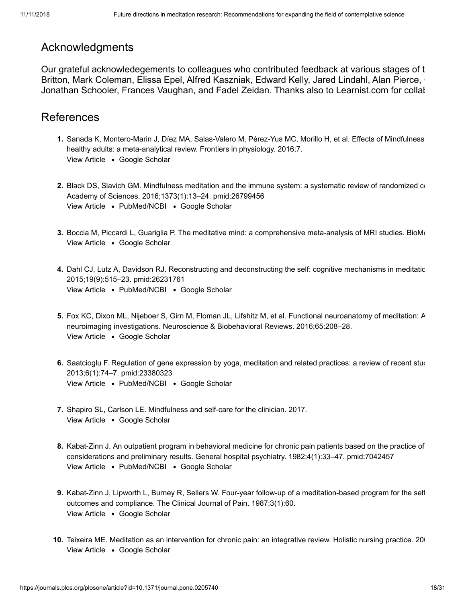# Acknowledgments

Our grateful acknowledegements to colleagues who contributed feedback at various stages of t Britton, Mark Coleman, Elissa Epel, Alfred Kaszniak, Edward Kelly, Jared Lindahl, Alan Pierce, Jonathan Schooler, Frances Vaughan, and Fadel Zeidan. Thanks also to Learnist.com for collab

# References

- **1.** Sanada K, Montero-Marin J, Díez MA, Salas-Valero M, Pérez-Yus MC, Morillo H, et al. Effects of Mindfulness View Article . [Google Scholar](http://scholar.google.com/scholar?q=Effects+of+Mindfulness-based+interventions+on+salivary+cortisol+in+healthy+adults%3A+a+meta-analytical+review+Sanada+2016) healthy adults: a meta-analytical review. Frontiers in physiology. 2016;7.
- **2.** Black DS, Slavich GM. Mindfulness meditation and the immune system: a systematic review of randomized co [View Article](https://doi.org/10.1111/nyas.12998) • [PubMed/NCBI](http://www.ncbi.nlm.nih.gov/pubmed/26799456) • [Google Scholar](http://scholar.google.com/scholar?q=Mindfulness+meditation+and+the+immune+system%3A+a+systematic+review+of+randomized+controlled+trials+Black+2016) Academy of Sciences. 2016;1373(1):13–24. pmid:26799456
- <span id="page-17-2"></span>**3.** Boccia M, Piccardi L, Guariglia P. The meditative mind: a comprehensive meta-analysis of MRI studies. BioMe View Article . [Google Scholar](http://scholar.google.com/scholar?q=The+meditative+mind%3A+a+comprehensive+meta-analysis+of+MRI+studies+Boccia+2015)
- **4.** Dahl CJ, Lutz A, Davidson RJ. Reconstructing and deconstructing the self: cognitive mechanisms in meditatic [View Article](https://doi.org/10.1016/j.tics.2015.07.001) • [PubMed/NCBI](http://www.ncbi.nlm.nih.gov/pubmed/26231761) • [Google Scholar](http://scholar.google.com/scholar?q=Reconstructing+and+deconstructing+the+self%3A+cognitive+mechanisms+in+meditation+practice+Dahl+2015) 2015;19(9):515–23. pmid:26231761
- **5.** Fox KC, Dixon ML, Nijeboer S, Girn M, Floman JL, Lifshitz M, et al. Functional neuroanatomy of meditation: A View Article . [Google Scholar](http://scholar.google.com/scholar?q=Functional+neuroanatomy+of+meditation%3A+A+review+and+meta-analysis+of+78+functional+neuroimaging+investigations+Fox+2016) neuroimaging investigations. Neuroscience & Biobehavioral Reviews. 2016;65:208–28.
- **6.** Saatcioglu F. Regulation of gene expression by yoga, meditation and related practices: a review of recent stud [View Article](https://doi.org/10.1016/j.ajp.2012.10.002) • [PubMed/NCBI](http://www.ncbi.nlm.nih.gov/pubmed/23380323) • [Google Scholar](http://scholar.google.com/scholar?q=Regulation+of+gene+expression+by+yoga%2C+meditation+and+related+practices%3A+a+review+of+recent+studies+Saatcioglu+2013) 2013;6(1):74–7. pmid:23380323
- **7.** Shapiro SL, Carlson LE. Mindfulness and self-care for the clinician. 2017. View Article . [Google Scholar](http://scholar.google.com/scholar?q=Mindfulness+and+self-care+for+the+clinician+Shapiro+2017)
- <span id="page-17-0"></span>**8.** Kabat-Zinn J. An outpatient program in behavioral medicine for chronic pain patients based on the practice of View Article • [PubMed/NCBI](http://www.ncbi.nlm.nih.gov/pubmed/7042457) • [Google Scholar](http://scholar.google.com/scholar?q=An+outpatient+program+in+behavioral+medicine+for+chronic+pain+patients+based+on+the+practice+of+mindfulness+meditation%3A+Theoretical+considerations+and+preliminary+results+Kabat-Zinn+1982) considerations and preliminary results. General hospital psychiatry. 1982;4(1):33–47. pmid:7042457
- **9.** Kabat-Zinn J, Lipworth L, Burney R, Sellers W. Four-year follow-up of a meditation-based program for the self View Article . [Google Scholar](http://scholar.google.com/scholar?q=Four-year+follow-up+of+a+meditation-based+program+for+the+self-regulation+of+chronic+pain%3A+treatment+outcomes+and+compliance+Kabat-Zinn+1987) outcomes and compliance. The Clinical Journal of Pain. 1987;3(1):60.
- <span id="page-17-1"></span>**10.** Teixeira ME. Meditation as an intervention for chronic pain: an integrative review. Holistic nursing practice. 20 View Article . [Google Scholar](http://scholar.google.com/scholar?q=Meditation+as+an+intervention+for+chronic+pain%3A+an+integrative+review+Teixeira+2008)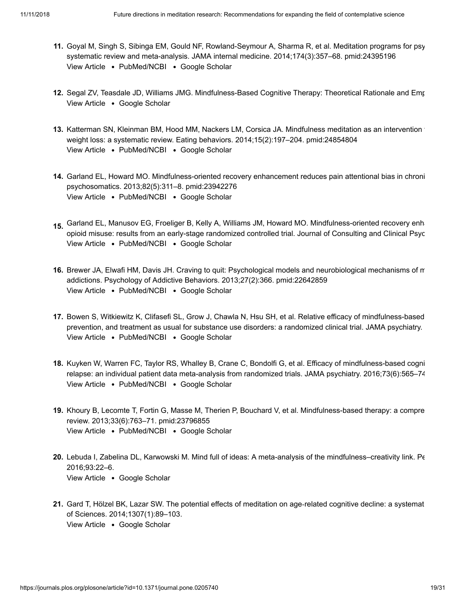- <span id="page-18-4"></span>**11.** Goyal M, Singh S, Sibinga EM, Gould NF, Rowland-Seymour A, Sharma R, et al. Meditation programs for psy [View Article](https://doi.org/10.1001/jamainternmed.2013.13018) • [PubMed/NCBI](http://www.ncbi.nlm.nih.gov/pubmed/24395196) • [Google Scholar](http://scholar.google.com/scholar?q=Meditation+programs+for+psychological+stress+and+well-being%3A+a+systematic+review+and+meta-analysis+Goyal+2014) systematic review and meta-analysis. JAMA internal medicine. 2014;174(3):357–68. pmid:24395196
- <span id="page-18-0"></span>**12.** Segal ZV, Teasdale JD, Williams JMG. Mindfulness-Based Cognitive Therapy: Theoretical Rationale and Emp View Article . [Google Scholar](http://scholar.google.com/scholar?q=Mindfulness-Based+Cognitive+Therapy%3A+Theoretical+Rationale+and+Empirical+Status+Segal+2004)
- <span id="page-18-1"></span>**13.** Katterman SN, Kleinman BM, Hood MM, Nackers LM, Corsica JA. Mindfulness meditation as an intervention f [View Article](https://doi.org/10.1016/j.eatbeh.2014.01.005) • [PubMed/NCBI](http://www.ncbi.nlm.nih.gov/pubmed/24854804) • [Google Scholar](http://scholar.google.com/scholar?q=Mindfulness+meditation+as+an+intervention+for+binge+eating%2C+emotional+eating%2C+and+weight+loss%3A+a+systematic+review+Katterman+2014) weight loss: a systematic review. Eating behaviors. 2014;15(2):197–204. pmid:24854804
- <span id="page-18-2"></span>**14.** Garland EL, Howard MO. Mindfulness-oriented recovery enhancement reduces pain attentional bias in chroni [View Article](https://doi.org/10.1159/000348868) • [PubMed/NCBI](http://www.ncbi.nlm.nih.gov/pubmed/23942276) • [Google Scholar](http://scholar.google.com/scholar?q=Mindfulness-oriented+recovery+enhancement+reduces+pain+attentional+bias+in+chronic+pain+patients+Garland+2013) psychosomatics. 2013;82(5):311–8. pmid:23942276
- 15. Garland EL, Manusov EG, Froeliger B, Kelly A, Williams JM, Howard MO. Mindfulness-oriented recovery enha [View Article](https://doi.org/10.1037/a0035798) • [PubMed/NCBI](http://www.ncbi.nlm.nih.gov/pubmed/24491075) • [Google Scholar](http://scholar.google.com/scholar?q=Mindfulness-oriented+recovery+enhancement+for+chronic+pain+and+prescription+opioid+misuse%3A+results+from+an+early-stage+randomized+controlled+trial+Garland+2014) opioid misuse: results from an early-stage randomized controlled trial. Journal of Consulting and Clinical Psyc
- **16.** Brewer JA, Elwafi HM, Davis JH. Craving to quit: Psychological models and neurobiological mechanisms of m [View Article](https://doi.org/10.1037/a0028490) • [PubMed/NCBI](http://www.ncbi.nlm.nih.gov/pubmed/22642859) • [Google Scholar](http://scholar.google.com/scholar?q=Craving+to+quit%3A+Psychological+models+and+neurobiological+mechanisms+of+mindfulness+training+as+treatment+for+addictions+Brewer+2013) addictions. Psychology of Addictive Behaviors. 2013;27(2):366. pmid:22642859
- <span id="page-18-3"></span>**17.** Bowen S, Witkiewitz K, Clifasefi SL, Grow J, Chawla N, Hsu SH, et al. Relative efficacy of mindfulness-based [View Article](https://doi.org/10.1001/jamapsychiatry.2013.4546) • [PubMed/NCBI](http://www.ncbi.nlm.nih.gov/pubmed/24647726) • [Google Scholar](http://scholar.google.com/scholar?q=Relative+efficacy+of+mindfulness-based+relapse+prevention%2C+standard+relapse+prevention%2C+and+treatment+as+usual+for+substance+use+disorders%3A+a+randomized+clinical+trial+Bowen+2014) prevention, and treatment as usual for substance use disorders: a randomized clinical trial. JAMA psychiatry.
- <span id="page-18-5"></span>**18.** Kuyken W, Warren FC, Taylor RS, Whalley B, Crane C, Bondolfi G, et al. Efficacy of mindfulness-based cogni [View Article](https://doi.org/10.1001/jamapsychiatry.2016.0076) • [PubMed/NCBI](http://www.ncbi.nlm.nih.gov/pubmed/27119968) • [Google Scholar](http://scholar.google.com/scholar?q=Efficacy+of+mindfulness-based+cognitive+therapy+in+prevention+of+depressive+relapse%3A+an+individual+patient+data+meta-analysis+from+randomized+trials+Kuyken+2016) relapse: an individual patient data meta-analysis from randomized trials. JAMA psychiatry. 2016;73(6):565–74
- <span id="page-18-6"></span>**19.** Khoury B, Lecomte T, Fortin G, Masse M, Therien P, Bouchard V, et al. Mindfulness-based therapy: a compre [View Article](https://doi.org/10.1016/j.cpr.2013.05.005) • [PubMed/NCBI](http://www.ncbi.nlm.nih.gov/pubmed/23796855) • [Google Scholar](http://scholar.google.com/scholar?q=Mindfulness-based+therapy%3A+a+comprehensive+meta-analysis+Khoury+2013) review. 2013;33(6):763–71. pmid:23796855
- **20.** Lebuda I, Zabelina DL, Karwowski M. Mind full of ideas: A meta-analysis of the mindfulness–creativity link. Pe View Article . [Google Scholar](http://scholar.google.com/scholar?q=Mind+full+of+ideas%3A+A+meta-analysis+of+the+mindfulness%E2%80%93creativity+link+Lebuda+2016) 2016;93:22–6.
- <span id="page-18-7"></span>**21.** Gard T, Hölzel BK, Lazar SW. The potential effects of meditation on age‐related cognitive decline: a systemat View Article . [Google Scholar](http://scholar.google.com/scholar?q=The+potential+effects+of+meditation+on+age%E2%80%90related+cognitive+decline%3A+a+systematic+review+Gard+2014) of Sciences. 2014;1307(1):89–103.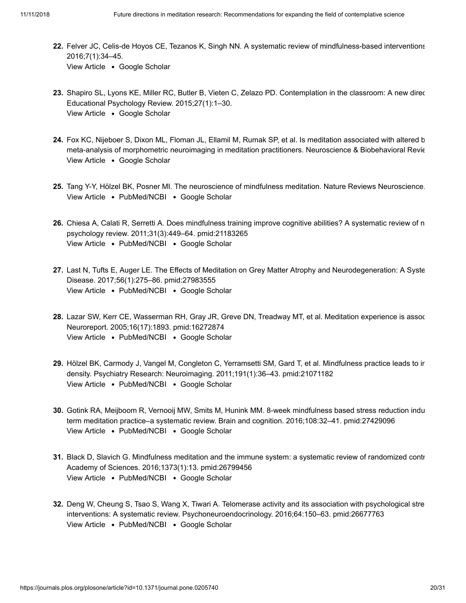- **22.** Felver JC, Celis-de Hoyos CE, Tezanos K, Singh NN. A systematic review of mindfulness-based interventions View Article . [Google Scholar](http://scholar.google.com/scholar?q=A+systematic+review+of+mindfulness-based+interventions+for+youth+in+school+settings+Felver+2016) 2016;7(1):34–45.
- **23.** Shapiro SL, Lyons KE, Miller RC, Butler B, Vieten C, Zelazo PD. Contemplation in the classroom: A new direc View Article . [Google Scholar](http://scholar.google.com/scholar?q=Contemplation+in+the+classroom%3A+A+new+direction+for+improving+childhood+education+Shapiro+2015) Educational Psychology Review. 2015;27(1):1–30.
- <span id="page-19-0"></span>**24.** Fox KC, Nijeboer S, Dixon ML, Floman JL, Ellamil M, Rumak SP, et al. Is meditation associated with altered b View Article . [Google Scholar](http://scholar.google.com/scholar?q=Is+meditation+associated+with+altered+brain+structure%3F+A+systematic+review+and+meta-analysis+of+morphometric+neuroimaging+in+meditation+practitioners+Fox+2014) meta-analysis of morphometric neuroimaging in meditation practitioners. Neuroscience & Biobehavioral Revie
- **25.** Tang Y-Y, Hölzel BK, Posner MI. The neuroscience of mindfulness meditation. Nature Reviews Neuroscience. [View Article](https://doi.org/10.1038/nrn3916) . [PubMed/NCBI](http://www.ncbi.nlm.nih.gov/pubmed/25783612) . [Google Scholar](http://scholar.google.com/scholar?q=The+neuroscience+of+mindfulness+meditation+Tang+2015)
- <span id="page-19-1"></span>**26.** Chiesa A, Calati R, Serretti A. Does mindfulness training improve cognitive abilities? A systematic review of n [View Article](https://doi.org/10.1016/j.cpr.2010.11.003) • [PubMed/NCBI](http://www.ncbi.nlm.nih.gov/pubmed/21183265) • [Google Scholar](http://scholar.google.com/scholar?q=Does+mindfulness+training+improve+cognitive+abilities%3F+A+systematic+review+of+neuropsychological+findings+Chiesa+2011) psychology review. 2011;31(3):449–64. pmid:21183265
- **27.** Last N, Tufts E, Auger LE. The Effects of Meditation on Grey Matter Atrophy and Neurodegeneration: A Syste [View Article](https://doi.org/10.3233/JAD-160899) • [PubMed/NCBI](http://www.ncbi.nlm.nih.gov/pubmed/27983555) • [Google Scholar](http://scholar.google.com/scholar?q=The+Effects+of+Meditation+on+Grey+Matter+Atrophy+and+Neurodegeneration%3A+A+Systematic+Review+Last+2017) Disease. 2017;56(1):275–86. pmid:27983555
- **28.** Lazar SW, Kerr CE, Wasserman RH, Gray JR, Greve DN, Treadway MT, et al. Meditation experience is assoc View Article • [PubMed/NCBI](http://www.ncbi.nlm.nih.gov/pubmed/16272874) • [Google Scholar](http://scholar.google.com/scholar?q=Meditation+experience+is+associated+with+increased+cortical+thickness+Lazar+2005) Neuroreport. 2005;16(17):1893. pmid:16272874
- **29.** Hölzel BK, Carmody J, Vangel M, Congleton C, Yerramsetti SM, Gard T, et al. Mindfulness practice leads to in [View Article](https://doi.org/10.1016/j.pscychresns.2010.08.006) • [PubMed/NCBI](http://www.ncbi.nlm.nih.gov/pubmed/21071182) • [Google Scholar](http://scholar.google.com/scholar?q=Mindfulness+practice+leads+to+increases+in+regional+brain+gray+matter+density+H%C3%B6lzel+2011) density. Psychiatry Research: Neuroimaging. 2011;191(1):36–43. pmid:21071182
- <span id="page-19-2"></span>**30.** Gotink RA, Meijboom R, Vernooij MW, Smits M, Hunink MM. 8-week mindfulness based stress reduction indu [View Article](https://doi.org/10.1016/j.bandc.2016.07.001) . [PubMed/NCBI](http://www.ncbi.nlm.nih.gov/pubmed/27429096) . [Google Scholar](http://scholar.google.com/scholar?q=8-week+mindfulness+based+stress+reduction+induces+brain+changes+similar+to+traditional+long-term+meditation+practice%E2%80%93a+systematic+review+Gotink+2016) term meditation practice–a systematic review. Brain and cognition. 2016;108:32–41. pmid:27429096
- <span id="page-19-3"></span>**31.** Black D, Slavich G. Mindfulness meditation and the immune system: a systematic review of randomized contr [View Article](https://doi.org/10.1111/nyas.12998) • [PubMed/NCBI](http://www.ncbi.nlm.nih.gov/pubmed/26799456) • [Google Scholar](http://scholar.google.com/scholar?q=Mindfulness+meditation+and+the+immune+system%3A+a+systematic+review+of+randomized+controlled+trials+Black+2016) Academy of Sciences. 2016;1373(1):13. pmid:26799456
- **32.** Deng W, Cheung S, Tsao S, Wang X, Tiwari A. Telomerase activity and its association with psychological stre [View Article](https://doi.org/10.1016/j.psyneuen.2015.11.017) • [PubMed/NCBI](http://www.ncbi.nlm.nih.gov/pubmed/26677763) • [Google Scholar](http://scholar.google.com/scholar?q=Telomerase+activity+and+its+association+with+psychological+stress%2C+mental+disorders%2C+lifestyle+factors+and+interventions%3A+A+systematic+review+Deng+2016) interventions: A systematic review. Psychoneuroendocrinology. 2016;64:150–63. pmid:26677763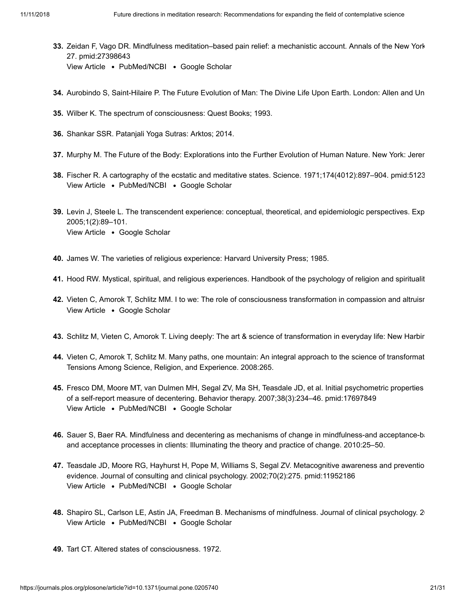- <span id="page-20-0"></span>**33.** Zeidan F, Vago DR. Mindfulness meditation–based pain relief: a mechanistic account. Annals of the New York [View Article](https://doi.org/10.1111/nyas.13153) • [PubMed/NCBI](http://www.ncbi.nlm.nih.gov/pubmed/27398643) • [Google Scholar](http://scholar.google.com/scholar?q=Mindfulness+meditation%E2%80%93based+pain+relief%3A+a+mechanistic+account+Zeidan+2016) 27. pmid:27398643
- <span id="page-20-1"></span>**34.** Aurobindo S, Saint-Hilaire P. The Future Evolution of Man: The Divine Life Upon Earth. London: Allen and Un
- <span id="page-20-5"></span>**35.** Wilber K. The spectrum of consciousness: Quest Books; 1993.
- <span id="page-20-9"></span>**36.** Shankar SSR. Patanjali Yoga Sutras: Arktos; 2014.
- **37.** Murphy M. The Future of the Body: Explorations into the Further Evolution of Human Nature. New York: Jerer
- **38.** Fischer R. A cartography of the ecstatic and meditative states. Science. 1971;174(4012):897–904. pmid:5123 View Article • [PubMed/NCBI](http://www.ncbi.nlm.nih.gov/pubmed/5123809) • [Google Scholar](http://scholar.google.com/scholar?q=A+cartography+of+the+ecstatic+and+meditative+states+Fischer+1971)
- **39.** Levin J, Steele L. The transcendent experience: conceptual, theoretical, and epidemiologic perspectives. Exp View Article . [Google Scholar](http://scholar.google.com/scholar?q=The+transcendent+experience%3A+conceptual%2C+theoretical%2C+and+epidemiologic+perspectives+Levin+2005) 2005;1(2):89–101.
- <span id="page-20-8"></span>**40.** James W. The varieties of religious experience: Harvard University Press; 1985.
- <span id="page-20-2"></span>**41.** Hood RW. Mystical, spiritual, and religious experiences. Handbook of the psychology of religion and spiritualit
- <span id="page-20-3"></span>**42.** Vieten C, Amorok T, Schlitz MM. I to we: The role of consciousness transformation in compassion and altruisr View Article . [Google Scholar](http://scholar.google.com/scholar?q=I+to+we%3A+The+role+of+consciousness+transformation+in+compassion+and+altruism+Vieten+2006)
- **43.** Schlitz M, Vieten C, Amorok T. Living deeply: The art & science of transformation in everyday life: New Harbin
- <span id="page-20-4"></span>**44.** Vieten C, Amorok T, Schlitz M. Many paths, one mountain: An integral approach to the science of transformat Tensions Among Science, Religion, and Experience. 2008:265.
- **45.** Fresco DM, Moore MT, van Dulmen MH, Segal ZV, Ma SH, Teasdale JD, et al. Initial psychometric properties [View Article](https://doi.org/10.1016/j.beth.2006.08.003) • [PubMed/NCBI](http://www.ncbi.nlm.nih.gov/pubmed/17697849) • [Google Scholar](http://scholar.google.com/scholar?q=Initial+psychometric+properties+of+the+experiences+questionnaire%3A+validation+of+a+self-report+measure+of+decentering+Fresco+2007) of a self-report measure of decentering. Behavior therapy. 2007;38(3):234–46. pmid:17697849
- **46.** Sauer S, Baer RA. Mindfulness and decentering as mechanisms of change in mindfulness-and acceptance-bacapter and acceptance processes in clients: Illuminating the theory and practice of change. 2010:25–50.
- **47.** Teasdale JD, Moore RG, Hayhurst H, Pope M, Williams S, Segal ZV. Metacognitive awareness and preventio View Article • [PubMed/NCBI](http://www.ncbi.nlm.nih.gov/pubmed/11952186) • [Google Scholar](http://scholar.google.com/scholar?q=Metacognitive+awareness+and+prevention+of+relapse+in+depression%3A+empirical+evidence+Teasdale+2002) evidence. Journal of consulting and clinical psychology. 2002;70(2):275. pmid:11952186
- <span id="page-20-6"></span>**48.** Shapiro SL, Carlson LE, Astin JA, Freedman B. Mechanisms of mindfulness. Journal of clinical psychology. 2 [View Article](https://doi.org/10.1002/jclp.20237) • [PubMed/NCBI](http://www.ncbi.nlm.nih.gov/pubmed/16385481) • [Google Scholar](http://scholar.google.com/scholar?q=Mechanisms+of+mindfulness+Shapiro+2006)
- <span id="page-20-7"></span>**49.** Tart CT. Altered states of consciousness. 1972.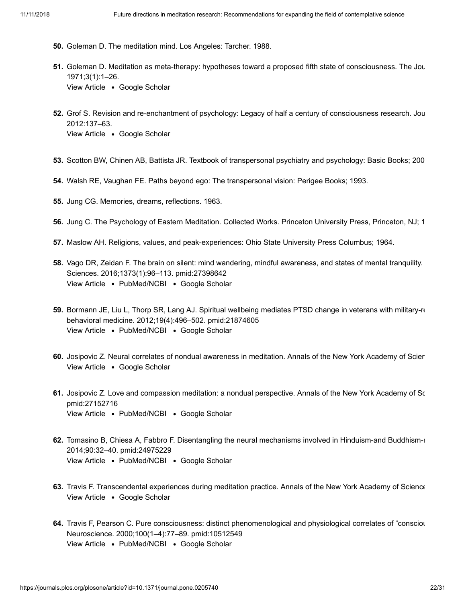- <span id="page-21-0"></span>**50.** Goleman D. The meditation mind. Los Angeles: Tarcher. 1988.
- <span id="page-21-1"></span>**51.** Goleman D. Meditation as meta-therapy: hypotheses toward a proposed fifth state of consciousness. The Jou View Article . [Google Scholar](http://scholar.google.com/scholar?q=Meditation+as+meta-therapy%3A+hypotheses+toward+a+proposed+fifth+state+of+consciousness+Goleman+1971) 1971;3(1):1–26.
- <span id="page-21-2"></span>**52.** Grof S. Revision and re-enchantment of psychology: Legacy of half a century of consciousness research. Jou View Article . [Google Scholar](http://scholar.google.com/scholar?q=Revision+and+re-enchantment+of+psychology%3A+Legacy+of+half+a+century+of+consciousness+research+Grof+2012) 2012:137–63.
- **53.** Scotton BW, Chinen AB, Battista JR. Textbook of transpersonal psychiatry and psychology: Basic Books; 200
- <span id="page-21-3"></span>**54.** Walsh RE, Vaughan FE. Paths beyond ego: The transpersonal vision: Perigee Books; 1993.
- <span id="page-21-4"></span>**55.** Jung CG. Memories, dreams, reflections. 1963.
- <span id="page-21-5"></span>**56.** Jung C. The Psychology of Eastern Meditation. Collected Works. Princeton University Press, Princeton, NJ; 1
- **57.** Maslow AH. Religions, values, and peak-experiences: Ohio State University Press Columbus; 1964.
- <span id="page-21-6"></span>**58.** Vago DR, Zeidan F. The brain on silent: mind wandering, mindful awareness, and states of mental tranquility. [View Article](https://doi.org/10.1111/nyas.13171) • [PubMed/NCBI](http://www.ncbi.nlm.nih.gov/pubmed/27398642) • [Google Scholar](http://scholar.google.com/scholar?q=The+brain+on+silent%3A+mind+wandering%2C+mindful+awareness%2C+and+states+of+mental+tranquility+Vago+2016) Sciences. 2016;1373(1):96–113. pmid:27398642
- <span id="page-21-7"></span>**59.** Bormann JE, Liu L, Thorp SR, Lang AJ. Spiritual wellbeing mediates PTSD change in veterans with military-re [View Article](https://doi.org/10.1007/s12529-011-9186-1) • [PubMed/NCBI](http://www.ncbi.nlm.nih.gov/pubmed/21874605) • [Google Scholar](http://scholar.google.com/scholar?q=Spiritual+wellbeing+mediates+PTSD+change+in+veterans+with+military-related+PTSD+Bormann+2012) behavioral medicine. 2012;19(4):496–502. pmid:21874605
- <span id="page-21-8"></span>**60.** Josipovic Z. Neural correlates of nondual awareness in meditation. Annals of the New York Academy of Scien View Article . [Google Scholar](http://scholar.google.com/scholar?q=Neural+correlates+of+nondual+awareness+in+meditation+Josipovic+2014)
- <span id="page-21-9"></span>**61.** Josipovic Z. Love and compassion meditation: a nondual perspective. Annals of the New York Academy of Sc [View Article](https://doi.org/10.1111/nyas.13078) • [PubMed/NCBI](http://www.ncbi.nlm.nih.gov/pubmed/27152716) • [Google Scholar](http://scholar.google.com/scholar?q=Love+and+compassion+meditation%3A+a+nondual+perspective+Josipovic+2016) pmid:27152716
- <span id="page-21-10"></span>**62.** Tomasino B, Chiesa A, Fabbro F. Disentangling the neural mechanisms involved in Hinduism-and Buddhism-i [View Article](https://doi.org/10.1016/j.bandc.2014.03.013) • [PubMed/NCBI](http://www.ncbi.nlm.nih.gov/pubmed/24975229) • [Google Scholar](http://scholar.google.com/scholar?q=Disentangling+the+neural+mechanisms+involved+in+Hinduism-and+Buddhism-related+meditations+Tomasino+2014) 2014;90:32–40. pmid:24975229
- <span id="page-21-11"></span>**63.** Travis F. Transcendental experiences during meditation practice. Annals of the New York Academy of Science View Article . [Google Scholar](http://scholar.google.com/scholar?q=Transcendental+experiences+during+meditation+practice+Travis+2014)
- <span id="page-21-12"></span>**64.** Travis F, Pearson C. Pure consciousness: distinct phenomenological and physiological correlates of "consciou View Article • [PubMed/NCBI](http://www.ncbi.nlm.nih.gov/pubmed/10512549) • [Google Scholar](http://scholar.google.com/scholar?q=Pure+consciousness%3A+distinct+phenomenological+and+physiological+correlates+of+%E2%80%9Cconsciousness+itself%E2%80%9D+Travis+2000) Neuroscience. 2000;100(1–4):77–89. pmid:10512549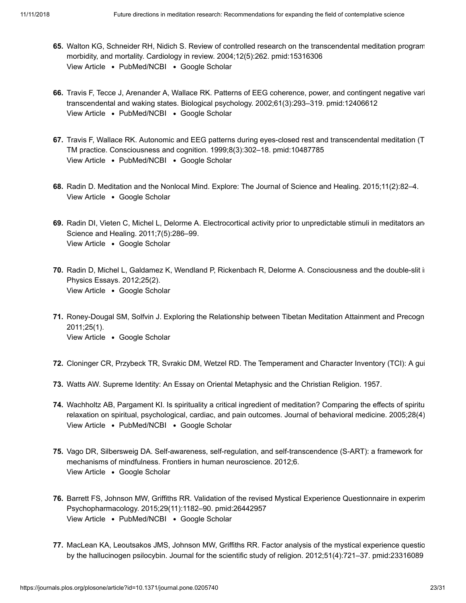- <span id="page-22-0"></span>**65.** Walton KG, Schneider RH, Nidich S. Review of controlled research on the transcendental meditation program [View Article](https://doi.org/10.1097/01.crd.0000113021.96119.78) • [PubMed/NCBI](http://www.ncbi.nlm.nih.gov/pubmed/15316306) • [Google Scholar](http://scholar.google.com/scholar?q=Review+of+controlled+research+on+the+transcendental+meditation+program+and+cardiovascular+disease%3A+risk+factors%2C+morbidity%2C+and+mortality+Walton+2004) morbidity, and mortality. Cardiology in review. 2004;12(5):262. pmid:15316306
- <span id="page-22-1"></span>**66.** Travis F, Tecce J, Arenander A, Wallace RK. Patterns of EEG coherence, power, and contingent negative vari View Article • [PubMed/NCBI](http://www.ncbi.nlm.nih.gov/pubmed/12406612) • [Google Scholar](http://scholar.google.com/scholar?q=Patterns+of+EEG+coherence%2C+power%2C+and+contingent+negative+variation+characterize+the+integration+of+transcendental+and+waking+states+Travis+2002) transcendental and waking states. Biological psychology. 2002;61(3):293–319. pmid:12406612
- <span id="page-22-2"></span>**67.** Travis F, Wallace RK. Autonomic and EEG patterns during eyes-closed rest and transcendental meditation (T [View Article](https://doi.org/10.1006/ccog.1999.0403) • [PubMed/NCBI](http://www.ncbi.nlm.nih.gov/pubmed/10487785) • [Google Scholar](http://scholar.google.com/scholar?q=Autonomic+and+EEG+patterns+during+eyes-closed+rest+and+transcendental+meditation+%28TM%29+practice%3A+the+basis+for+a+neural+model+of+TM+practice+Travis+1999) TM practice. Consciousness and cognition. 1999;8(3):302–18. pmid:10487785
- <span id="page-22-3"></span>**68.** Radin D. Meditation and the Nonlocal Mind. Explore: The Journal of Science and Healing. 2015;11(2):82–4. View Article . [Google Scholar](http://scholar.google.com/scholar?q=Meditation+and+the+Nonlocal+Mind+Radin+2015)
- <span id="page-22-11"></span>69. Radin DI, Vieten C, Michel L, Delorme A. Electrocortical activity prior to unpredictable stimuli in meditators and View Article . [Google Scholar](http://scholar.google.com/scholar?q=Electrocortical+activity+prior+to+unpredictable+stimuli+in+meditators+and+nonmeditators+Radin+2011) Science and Healing. 2011;7(5):286–99.
- **70.** Radin D, Michel L, Galdamez K, Wendland P, Rickenbach R, Delorme A. Consciousness and the double-slit in View Article . [Google Scholar](http://scholar.google.com/scholar?q=Consciousness+and+the+double-slit+interference+pattern%3A+Six+experiments+Radin+2012) Physics Essays. 2012;25(2).
- <span id="page-22-4"></span>**71.** Roney-Dougal SM, Solfvin J. Exploring the Relationship between Tibetan Meditation Attainment and Precogn View Article . [Google Scholar](http://scholar.google.com/scholar?q=Exploring+the+Relationship+between+Tibetan+Meditation+Attainment+and+Precognition+Roney-Dougal+2011) 2011;25(1).
- <span id="page-22-5"></span>**72.** Cloninger CR, Przybeck TR, Svrakic DM, Wetzel RD. The Temperament and Character Inventory (TCI): A gui
- <span id="page-22-6"></span>**73.** Watts AW. Supreme Identity: An Essay on Oriental Metaphysic and the Christian Religion. 1957.
- <span id="page-22-7"></span>**74.** Wachholtz AB, Pargament KI. Is spirituality a critical ingredient of meditation? Comparing the effects of spiritu [View Article](https://doi.org/10.1007/s10865-005-9008-5) • [PubMed/NCBI](http://www.ncbi.nlm.nih.gov/pubmed/16049627) • [Google Scholar](http://scholar.google.com/scholar?q=Is+spirituality+a+critical+ingredient+of+meditation%3F+Comparing+the+effects+of+spiritual+meditation%2C+secular+meditation%2C+and+relaxation+on+spiritual%2C+psychological%2C+cardiac%2C+and+pain+outcomes+Wachholtz+2005) relaxation on spiritual, psychological, cardiac, and pain outcomes. Journal of behavioral medicine. 2005;28(4)
- <span id="page-22-8"></span>**75.** Vago DR, Silbersweig DA. Self-awareness, self-regulation, and self-transcendence (S-ART): a framework for View Article . [Google Scholar](http://scholar.google.com/scholar?q=Self-awareness%2C+self-regulation%2C+and+self-transcendence+%28S-ART%29%3A+a+framework+for+understanding+the+neurobiological+mechanisms+of+mindfulness+Vago+2012) mechanisms of mindfulness. Frontiers in human neuroscience. 2012;6.
- <span id="page-22-9"></span>**76.** Barrett FS, Johnson MW, Griffiths RR. Validation of the revised Mystical Experience Questionnaire in experim [View Article](https://doi.org/10.1177/0269881115609019) • [PubMed/NCBI](http://www.ncbi.nlm.nih.gov/pubmed/26442957) • [Google Scholar](http://scholar.google.com/scholar?q=Validation+of+the+revised+Mystical+Experience+Questionnaire+in+experimental+sessions+with+psilocybin+Barrett+2015) Psychopharmacology. 2015;29(11):1182–90. pmid:26442957
- <span id="page-22-10"></span>**77.** MacLean KA, Leoutsakos JMS, Johnson MW, Griffiths RR. Factor analysis of the mystical experience questio by the hallucinogen psilocybin. Journal for the scientific study of religion. 2012;51(4):721–37. pmid:23316089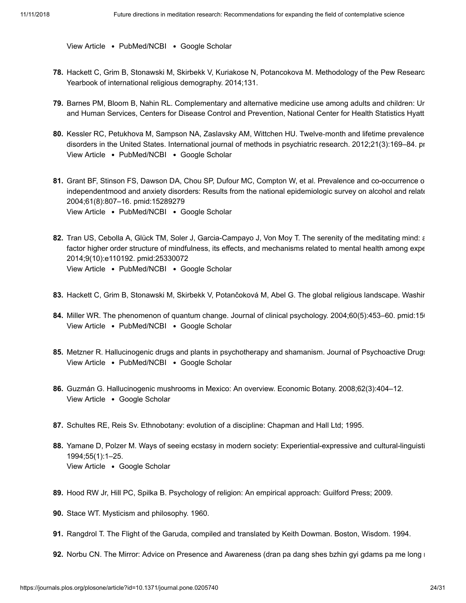[View Article](https://doi.org/10.1111/j.1468-5906.2012.01685.x) . [PubMed/NCBI](http://www.ncbi.nlm.nih.gov/pubmed/23316089) . [Google Scholar](http://scholar.google.com/scholar?q=Factor+analysis+of+the+mystical+experience+questionnaire%3A+A+study+of+experiences+occasioned+by+the+hallucinogen+psilocybin+MacLean+2012)

- <span id="page-23-0"></span>**78.** Hackett C, Grim B, Stonawski M, Skirbekk V, Kuriakose N, Potancokova M. Methodology of the Pew Researc Yearbook of international religious demography. 2014;131.
- <span id="page-23-1"></span>**79.** Barnes PM, Bloom B, Nahin RL. Complementary and alternative medicine use among adults and children: Ur and Human Services, Centers for Disease Control and Prevention, National Center for Health Statistics Hyatt
- **80.** Kessler RC, Petukhova M, Sampson NA, Zaslavsky AM, Wittchen HU. Twelve‐month and lifetime prevalence [View Article](https://doi.org/10.1002/mpr.1359) • [PubMed/NCBI](http://www.ncbi.nlm.nih.gov/pubmed/22865617) • [Google Scholar](http://scholar.google.com/scholar?q=Twelve%E2%80%90month+and+lifetime+prevalence+and+lifetime+morbid+risk+of+anxiety+and+mood+disorders+in+the+United+States+Kessler+2012) disorders in the United States. International journal of methods in psychiatric research. 2012;21(3):169–84. pm
- <span id="page-23-2"></span>**81.** Grant BF, Stinson FS, Dawson DA, Chou SP, Dufour MC, Compton W, et al. Prevalence and co-occurrence o [View Article](https://doi.org/10.1001/archpsyc.61.8.807) • [PubMed/NCBI](http://www.ncbi.nlm.nih.gov/pubmed/15289279) • [Google Scholar](http://scholar.google.com/scholar?q=Prevalence+and+co-occurrence+of+substance+use+disorders+and+independentmood+and+anxiety+disorders%3A+Results+from+the+national+epidemiologic+survey+on+alcohol+and+relatedconditions+Grant+2004) independentmood and anxiety disorders: Results from the national epidemiologic survey on alcohol and relate 2004;61(8):807–16. pmid:15289279
- <span id="page-23-3"></span>82. Tran US, Cebolla A, Glück TM, Soler J, Garcia-Campayo J, Von Moy T. The serenity of the meditating mind: a [View Article](https://doi.org/10.1371/journal.pone.0110192) • [PubMed/NCBI](http://www.ncbi.nlm.nih.gov/pubmed/25330072) • [Google Scholar](http://scholar.google.com/scholar?q=The+serenity+of+the+meditating+mind%3A+a+cross-cultural+psychometric+study+on+a+two-factor+higher+order+structure+of+mindfulness%2C+its+effects%2C+and+mechanisms+related+to+mental+health+among+experienced+meditators+Tran+2014) factor higher order structure of mindfulness, its effects, and mechanisms related to mental health among expe 2014;9(10):e110192. pmid:25330072
- <span id="page-23-4"></span>**83.** Hackett C, Grim B, Stonawski M, Skirbekk V, Potančoková M, Abel G. The global religious landscape. Washir
- <span id="page-23-5"></span>84. Miller WR. The phenomenon of quantum change. Journal of clinical psychology. 2004;60(5):453–60. pmid:150 [View Article](https://doi.org/10.1002/jclp.20000) • [PubMed/NCBI](http://www.ncbi.nlm.nih.gov/pubmed/15048692) • [Google Scholar](http://scholar.google.com/scholar?q=The+phenomenon+of+quantum+change+Miller+2004)
- <span id="page-23-6"></span>**85.** Metzner R. Hallucinogenic drugs and plants in psychotherapy and shamanism. Journal of Psychoactive Drugs [View Article](https://doi.org/10.1080/02791072.1998.10399709) • [PubMed/NCBI](http://www.ncbi.nlm.nih.gov/pubmed/9924839) • [Google Scholar](http://scholar.google.com/scholar?q=Hallucinogenic+drugs+and+plants+in+psychotherapy+and+shamanism+Metzner+1998)
- **86.** Guzmán G. Hallucinogenic mushrooms in Mexico: An overview. Economic Botany. 2008;62(3):404–12. View Article . [Google Scholar](http://scholar.google.com/scholar?q=Hallucinogenic+mushrooms+in+Mexico%3A+An+overview+Guzm%C3%A1n+2008)
- **87.** Schultes RE, Reis Sv. Ethnobotany: evolution of a discipline: Chapman and Hall Ltd; 1995.
- <span id="page-23-7"></span>**88.** Yamane D, Polzer M. Ways of seeing ecstasy in modern society: Experiential-expressive and cultural-linguisti View Article . [Google Scholar](http://scholar.google.com/scholar?q=Ways+of+seeing+ecstasy+in+modern+society%3A+Experiential-expressive+and+cultural-linguistic+views+Yamane+1994) 1994;55(1):1–25.
- <span id="page-23-8"></span>**89.** Hood RW Jr, Hill PC, Spilka B. Psychology of religion: An empirical approach: Guilford Press; 2009.
- <span id="page-23-9"></span>**90.** Stace WT. Mysticism and philosophy. 1960.
- <span id="page-23-10"></span>**91.** Rangdrol T. The Flight of the Garuda, compiled and translated by Keith Dowman. Boston, Wisdom. 1994.
- <span id="page-23-11"></span>**92.** Norbu CN. The Mirror: Advice on Presence and Awareness (dran pa dang shes bzhin gyi gdams pa me long n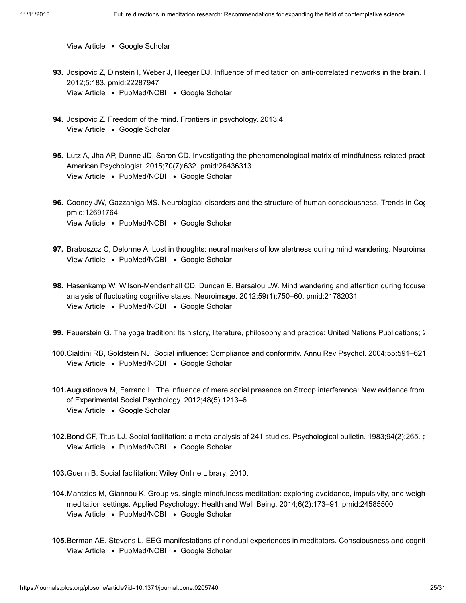View Article . [Google Scholar](http://scholar.google.com/scholar?q=The+Mirror%3A+Advice+on+Presence+and+Awareness+%28dran+pa+dang+shes+bzhin+gyi+gdams+pa+me+long+ma%29+Norbu+2013)

- **93.** Josipovic Z, Dinstein I, Weber J, Heeger DJ. Influence of meditation on anti-correlated networks in the brain. I [View Article](https://doi.org/10.3389/fnhum.2011.00183) • [PubMed/NCBI](http://www.ncbi.nlm.nih.gov/pubmed/22287947) • [Google Scholar](http://scholar.google.com/scholar?q=Influence+of+meditation+on+anti-correlated+networks+in+the+brain+Josipovic+2012) 2012;5:183. pmid:22287947
- **94.** Josipovic Z. Freedom of the mind. Frontiers in psychology. 2013;4. View Article . [Google Scholar](http://scholar.google.com/scholar?q=Freedom+of+the+mind+Josipovic+2013)
- **95.** Lutz A, Jha AP, Dunne JD, Saron CD. Investigating the phenomenological matrix of mindfulness-related pract [View Article](https://doi.org/10.1037/a0039585) . [PubMed/NCBI](http://www.ncbi.nlm.nih.gov/pubmed/26436313) . [Google Scholar](http://scholar.google.com/scholar?q=Investigating+the+phenomenological+matrix+of+mindfulness-related+practices+from+a+neurocognitive+perspective+Lutz+2015) American Psychologist. 2015;70(7):632. pmid:26436313
- <span id="page-24-0"></span>**96.** Cooney JW, Gazzaniga MS. Neurological disorders and the structure of human consciousness. Trends in Cog View Article • [PubMed/NCBI](http://www.ncbi.nlm.nih.gov/pubmed/12691764) • [Google Scholar](http://scholar.google.com/scholar?q=Neurological+disorders+and+the+structure+of+human+consciousness+Cooney+2003) pmid:12691764
- **97.** Braboszcz C, Delorme A. Lost in thoughts: neural markers of low alertness during mind wandering. Neuroima [View Article](https://doi.org/10.1016/j.neuroimage.2010.10.008) • [PubMed/NCBI](http://www.ncbi.nlm.nih.gov/pubmed/20946963) • [Google Scholar](http://scholar.google.com/scholar?q=Lost+in+thoughts%3A+neural+markers+of+low+alertness+during+mind+wandering+Braboszcz+2011)
- **98.** Hasenkamp W, Wilson-Mendenhall CD, Duncan E, Barsalou LW. Mind wandering and attention during focuse [View Article](https://doi.org/10.1016/j.neuroimage.2011.07.008) • [PubMed/NCBI](http://www.ncbi.nlm.nih.gov/pubmed/21782031) • [Google Scholar](http://scholar.google.com/scholar?q=Mind+wandering+and+attention+during+focused+meditation%3A+a+fine-grained+temporal+analysis+of+fluctuating+cognitive+states+Hasenkamp+2012) analysis of fluctuating cognitive states. Neuroimage. 2012;59(1):750–60. pmid:21782031
- <span id="page-24-1"></span>**99.** Feuerstein G. The yoga tradition: Its history, literature, philosophy and practice: United Nations Publications; 2
- **100.** Cialdini RB, Goldstein NJ. Social influence: Compliance and conformity. Annu Rev Psychol. 2004;55:591–621 [View Article](https://doi.org/10.1146/annurev.psych.55.090902.142015) • [PubMed/NCBI](http://www.ncbi.nlm.nih.gov/pubmed/14744228) • [Google Scholar](http://scholar.google.com/scholar?q=Social+influence%3A+Compliance+and+conformity+Cialdini+2004)
- <span id="page-24-2"></span>**101.** Augustinova M, Ferrand L. The influence of mere social presence on Stroop interference: New evidence from View Article . [Google Scholar](http://scholar.google.com/scholar?q=The+influence+of+mere+social+presence+on+Stroop+interference%3A+New+evidence+from+the+semantically-based+Stroop+task+Augustinova+2012) of Experimental Social Psychology. 2012;48(5):1213–6.
- **102.** Bond CF, Titus LJ. Social facilitation: a meta-analysis of 241 studies. Psychological bulletin. 1983;94(2):265. p View Article • [PubMed/NCBI](http://www.ncbi.nlm.nih.gov/pubmed/6356198) • [Google Scholar](http://scholar.google.com/scholar?q=Social+facilitation%3A+a+meta-analysis+of+241+studies+Bond+1983)

**103.** Guerin B. Social facilitation: Wiley Online Library; 2010.

- <span id="page-24-3"></span>**104.** Mantzios M, Giannou K. Group vs. single mindfulness meditation: exploring avoidance, impulsivity, and weigh [View Article](https://doi.org/10.1111/aphw.12023) • [PubMed/NCBI](http://www.ncbi.nlm.nih.gov/pubmed/24585500) • [Google Scholar](http://scholar.google.com/scholar?q=Group+vs.+single+mindfulness+meditation%3A+exploring+avoidance%2C+impulsivity%2C+and+weight+management+in+two+separate+mindfulness+meditation+settings+Mantzios+2014) meditation settings. Applied Psychology: Health and Well‐Being. 2014;6(2):173–91. pmid:24585500
- <span id="page-24-4"></span>**105.** Berman AE, Stevens L. EEG manifestations of nondual experiences in meditators. Consciousness and cognit[View Article](https://doi.org/10.1016/j.concog.2014.10.002) • [PubMed/NCBI](http://www.ncbi.nlm.nih.gov/pubmed/25460236) • [Google Scholar](http://scholar.google.com/scholar?q=EEG+manifestations+of+nondual+experiences+in+meditators+Berman+2015)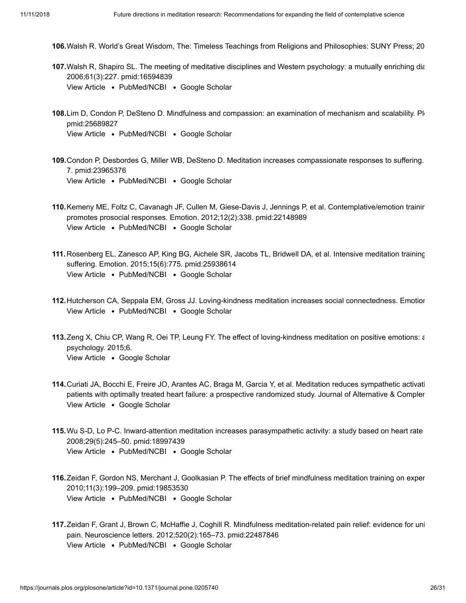- **106.** Walsh R. World's Great Wisdom, The: Timeless Teachings from Religions and Philosophies: SUNY Press; 20
- <span id="page-25-6"></span>**107.** Walsh R, Shapiro SL. The meeting of meditative disciplines and Western psychology: a mutually enriching dia [View Article](https://doi.org/10.1037/0003-066X.61.3.227) • [PubMed/NCBI](http://www.ncbi.nlm.nih.gov/pubmed/16594839) • [Google Scholar](http://scholar.google.com/scholar?q=The+meeting+of+meditative+disciplines+and+Western+psychology%3A+a+mutually+enriching+dialogue+Walsh+2006) 2006;61(3):227. pmid:16594839
- <span id="page-25-0"></span>108.Lim D, Condon P, DeSteno D. Mindfulness and compassion: an examination of mechanism and scalability. Plote [View Article](https://doi.org/10.1371/journal.pone.0118221) • [PubMed/NCBI](http://www.ncbi.nlm.nih.gov/pubmed/25689827) • [Google Scholar](http://scholar.google.com/scholar?q=Mindfulness+and+compassion%3A+an+examination+of+mechanism+and+scalability+Lim+2015) pmid:25689827
- **109.** Condon P, Desbordes G, Miller WB, DeSteno D. Meditation increases compassionate responses to suffering. [View Article](https://doi.org/10.1177/0956797613485603) • [PubMed/NCBI](http://www.ncbi.nlm.nih.gov/pubmed/23965376) • [Google Scholar](http://scholar.google.com/scholar?q=Meditation+increases+compassionate+responses+to+suffering+Condon+2013) 7. pmid:23965376
- 110. Kemeny ME, Foltz C, Cavanagh JF, Cullen M, Giese-Davis J, Jennings P, et al. Contemplative/emotion trainir [View Article](https://doi.org/10.1037/a0026118) • [PubMed/NCBI](http://www.ncbi.nlm.nih.gov/pubmed/22148989) • [Google Scholar](http://scholar.google.com/scholar?q=Contemplative%2Femotion+training+reduces+negative+emotional+behavior+and+promotes+prosocial+responses+Kemeny+2012) promotes prosocial responses. Emotion. 2012;12(2):338. pmid:22148989
- **111.** Rosenberg EL, Zanesco AP, King BG, Aichele SR, Jacobs TL, Bridwell DA, et al. Intensive meditation training [View Article](https://doi.org/10.1037/emo0000080) • [PubMed/NCBI](http://www.ncbi.nlm.nih.gov/pubmed/25938614) • [Google Scholar](http://scholar.google.com/scholar?q=Intensive+meditation+training+influences+emotional+responses+to+suffering+Rosenberg+2015) suffering. Emotion. 2015;15(6):775. pmid:25938614
- <span id="page-25-1"></span>**112.** Hutcherson CA, Seppala EM, Gross JJ. Loving-kindness meditation increases social connectedness. Emotion [View Article](https://doi.org/10.1037/a0013237) • [PubMed/NCBI](http://www.ncbi.nlm.nih.gov/pubmed/18837623) • [Google Scholar](http://scholar.google.com/scholar?q=Loving-kindness+meditation+increases+social+connectedness+Hutcherson+2008)
- <span id="page-25-2"></span>**113.** Zeng X, Chiu CP, Wang R, Oei TP, Leung FY. The effect of loving-kindness meditation on positive emotions: a View Article . [Google Scholar](http://scholar.google.com/scholar?q=The+effect+of+loving-kindness+meditation+on+positive+emotions%3A+a+meta-analytic+review+Zeng+2015) psychology. 2015;6.
- <span id="page-25-3"></span>**114.** Curiati JA, Bocchi E, Freire JO, Arantes AC, Braga M, Garcia Y, et al. Meditation reduces sympathetic activati View Article . [Google Scholar](http://scholar.google.com/scholar?q=Meditation+reduces+sympathetic+activation+and+improves+the+quality+of+life+in+elderly+patients+with+optimally+treated+heart+failure%3A+a+prospective+randomized+study+Curiati+2005) patients with optimally treated heart failure: a prospective randomized study. Journal of Alternative & Compler
- <span id="page-25-4"></span>**115.** Wu S-D, Lo P-C. Inward-attention meditation increases parasympathetic activity: a study based on heart rate View Article • [PubMed/NCBI](http://www.ncbi.nlm.nih.gov/pubmed/18997439) • [Google Scholar](http://scholar.google.com/scholar?q=Inward-attention+meditation+increases+parasympathetic+activity%3A+a+study+based+on+heart+rate+variability+Wu+2008) 2008;29(5):245–50. pmid:18997439
- <span id="page-25-5"></span>**116.** Zeidan F, Gordon NS, Merchant J, Goolkasian P. The effects of brief mindfulness meditation training on exper [View Article](https://doi.org/10.1016/j.jpain.2009.07.015) • [PubMed/NCBI](http://www.ncbi.nlm.nih.gov/pubmed/19853530) • [Google Scholar](http://scholar.google.com/scholar?q=The+effects+of+brief+mindfulness+meditation+training+on+experimentally+induced+pain+Zeidan+2010) 2010;11(3):199–209. pmid:19853530
- **117.** Zeidan F, Grant J, Brown C, McHaffie J, Coghill R. Mindfulness meditation-related pain relief: evidence for uni [View Article](https://doi.org/10.1016/j.neulet.2012.03.082) • [PubMed/NCBI](http://www.ncbi.nlm.nih.gov/pubmed/22487846) • [Google Scholar](http://scholar.google.com/scholar?q=Mindfulness+meditation-related+pain+relief%3A+evidence+for+unique+brain+mechanisms+in+the+regulation+of+pain+Zeidan+2012) pain. Neuroscience letters. 2012;520(2):165–73. pmid:22487846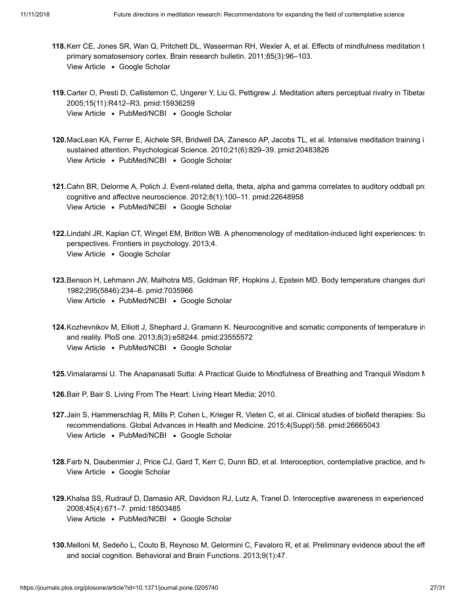- <span id="page-26-0"></span>**118.** Kerr CE, Jones SR, Wan Q, Pritchett DL, Wasserman RH, Wexler A, et al. Effects of mindfulness meditation t View Article . [Google Scholar](http://scholar.google.com/scholar?q=Effects+of+mindfulness+meditation+training+on+anticipatory+alpha+modulation+in+primary+somatosensory+cortex+Kerr+2011) primary somatosensory cortex. Brain research bulletin. 2011;85(3):96–103.
- <span id="page-26-1"></span>**119.** Carter O, Presti D, Callistemon C, Ungerer Y, Liu G, Pettigrew J. Meditation alters perceptual rivalry in Tibetan [View Article](https://doi.org/10.1016/j.cub.2005.05.043) • [PubMed/NCBI](http://www.ncbi.nlm.nih.gov/pubmed/15936259) • [Google Scholar](http://scholar.google.com/scholar?q=Meditation+alters+perceptual+rivalry+in+Tibetan+Buddhist+monks+Carter+2005) 2005;15(11):R412–R3. pmid:15936259
- **120.** MacLean KA, Ferrer E, Aichele SR, Bridwell DA, Zanesco AP, Jacobs TL, et al. Intensive meditation training i [View Article](https://doi.org/10.1177/0956797610371339) • [PubMed/NCBI](http://www.ncbi.nlm.nih.gov/pubmed/20483826) • [Google Scholar](http://scholar.google.com/scholar?q=Intensive+meditation+training+improves+perceptual+discrimination+and+sustained+attention+MacLean+2010) sustained attention. Psychological Science. 2010;21(6):829–39. pmid:20483826
- **121.** Cahn BR, Delorme A, Polich J. Event-related delta, theta, alpha and gamma correlates to auditory oddball pro [View Article](https://doi.org/10.1093/scan/nss060) • [PubMed/NCBI](http://www.ncbi.nlm.nih.gov/pubmed/22648958) • [Google Scholar](http://scholar.google.com/scholar?q=Event-related+delta%2C+theta%2C+alpha+and+gamma+correlates+to+auditory+oddball+processing+during+Cahn+2012) cognitive and affective neuroscience. 2012;8(1):100–11. pmid:22648958
- 122. Lindahl JR, Kaplan CT, Winget EM, Britton WB. A phenomenology of meditation-induced light experiences: tra View Article . [Google Scholar](http://scholar.google.com/scholar?q=A+phenomenology+of+meditation-induced+light+experiences%3A+traditional+Buddhist+and+neurobiological+perspectives+Lindahl+2013) perspectives. Frontiers in psychology. 2013;4.
- <span id="page-26-2"></span>**123.** Benson H, Lehmann JW, Malhotra MS, Goldman RF, Hopkins J, Epstein MD. Body temperature changes duri View Article • [PubMed/NCBI](http://www.ncbi.nlm.nih.gov/pubmed/7035966) • [Google Scholar](http://scholar.google.com/scholar?q=Body+temperature+changes+during+the+practice+of+g+Tum-mo+yoga+Benson+1982) 1982;295(5846):234–6. pmid:7035966
- <span id="page-26-3"></span>**124.** Kozhevnikov M, Elliott J, Shephard J, Gramann K. Neurocognitive and somatic components of temperature in [View Article](https://doi.org/10.1371/journal.pone.0058244) • [PubMed/NCBI](http://www.ncbi.nlm.nih.gov/pubmed/23555572) • [Google Scholar](http://scholar.google.com/scholar?q=Neurocognitive+and+somatic+components+of+temperature+increases+during+g-Tummo+meditation%3A+legend+and+reality+Kozhevnikov+2013) and reality. PloS one. 2013;8(3):e58244. pmid:23555572

<span id="page-26-4"></span>**125.** Vimalaramsi U. The Anapanasati Sutta: A Practical Guide to Mindfulness of Breathing and Tranquil Wisdom M

<span id="page-26-5"></span>**126.** Bair P, Bair S. Living From The Heart: Living Heart Media; 2010.

- <span id="page-26-6"></span>**127.** Jain S, Hammerschlag R, Mills P, Cohen L, Krieger R, Vieten C, et al. Clinical studies of biofield therapies: Su [View Article](https://doi.org/10.7453/gahmj.2015.034.suppl) • [PubMed/NCBI](http://www.ncbi.nlm.nih.gov/pubmed/26665043) • [Google Scholar](http://scholar.google.com/scholar?q=Clinical+studies+of+biofield+therapies%3A+Summary%2C+methodological+challenges%2C+and+recommendations+Jain+2015) recommendations. Global Advances in Health and Medicine. 2015;4(Suppl):58. pmid:26665043
- <span id="page-26-7"></span>128. Farb N, Daubenmier J, Price CJ, Gard T, Kerr C, Dunn BD, et al. Interoception, contemplative practice, and he View Article . [Google Scholar](http://scholar.google.com/scholar?q=Interoception%2C+contemplative+practice%2C+and+health+Farb+2015)
- <span id="page-26-8"></span>**129.** Khalsa SS, Rudrauf D, Damasio AR, Davidson RJ, Lutz A, Tranel D. Interoceptive awareness in experienced [View Article](https://doi.org/10.1111/j.1469-8986.2008.00666.x) • [PubMed/NCBI](http://www.ncbi.nlm.nih.gov/pubmed/18503485) • [Google Scholar](http://scholar.google.com/scholar?q=Interoceptive+awareness+in+experienced+meditators+Khalsa+2008) 2008;45(4):671–7. pmid:18503485
- **130.** Melloni M, Sedeño L, Couto B, Reynoso M, Gelormini C, Favaloro R, et al. Preliminary evidence about the eff and social cognition. Behavioral and Brain Functions. 2013;9(1):47.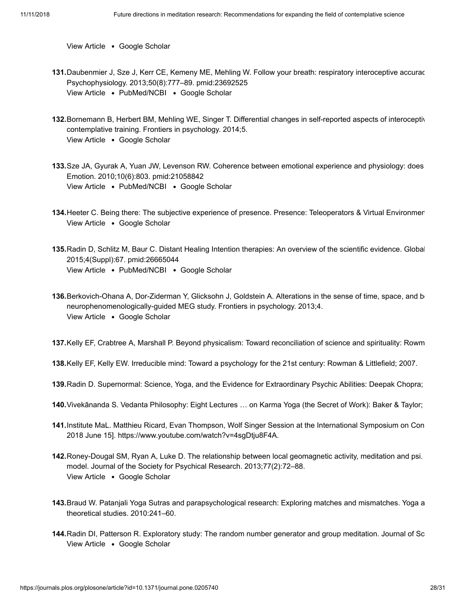View Article . [Google Scholar](http://scholar.google.com/scholar?q=Preliminary+evidence+about+the+effects+of+meditation+on+interoceptive+sensitivity+and+social+cognition+Melloni+2013)

- <span id="page-27-0"></span>**131.** Daubenmier J, Sze J, Kerr CE, Kemeny ME, Mehling W. Follow your breath: respiratory interoceptive accurac [View Article](https://doi.org/10.1111/psyp.12057) . [PubMed/NCBI](http://www.ncbi.nlm.nih.gov/pubmed/23692525) . [Google Scholar](http://scholar.google.com/scholar?q=Follow+your+breath%3A+respiratory+interoceptive+accuracy+in+experienced+meditators+Daubenmier+2013) Psychophysiology. 2013;50(8):777–89. pmid:23692525
- **132.** Bornemann B, Herbert BM, Mehling WE, Singer T. Differential changes in self-reported aspects of interoceptiv View Article . [Google Scholar](http://scholar.google.com/scholar?q=Differential+changes+in+self-reported+aspects+of+interoceptive+awareness+through+3+months+of+contemplative+training+Bornemann+2014) contemplative training. Frontiers in psychology. 2014;5.
- **133.** Sze JA, Gyurak A, Yuan JW, Levenson RW. Coherence between emotional experience and physiology: does [View Article](https://doi.org/10.1037/a0020146) • [PubMed/NCBI](http://www.ncbi.nlm.nih.gov/pubmed/21058842) • [Google Scholar](http://scholar.google.com/scholar?q=Coherence+between+emotional+experience+and+physiology%3A+does+body+awareness+training+have+an+impact%3F+Sze+2010) Emotion. 2010;10(6):803. pmid:21058842
- <span id="page-27-1"></span>**134.** Heeter C. Being there: The subjective experience of presence. Presence: Teleoperators & Virtual Environmen View Article . [Google Scholar](http://scholar.google.com/scholar?q=Being+there%3A+The+subjective+experience+of+presence+Heeter+1992)
- **135.** Radin D, Schlitz M, Baur C. Distant Healing Intention therapies: An overview of the scientific evidence. Global [View Article](https://doi.org/10.7453/gahmj.2015.012.suppl) • [PubMed/NCBI](http://www.ncbi.nlm.nih.gov/pubmed/26665044) • [Google Scholar](http://scholar.google.com/scholar?q=Distant+Healing+Intention+therapies%3A+An+overview+of+the+scientific+evidence+Radin+2015) 2015;4(Suppl):67. pmid:26665044
- <span id="page-27-2"></span>**136.**Berkovich-Ohana A, Dor-Ziderman Y, Glicksohn J, Goldstein A. Alterations in the sense of time, space, and b View Article . [Google Scholar](http://scholar.google.com/scholar?q=Alterations+in+the+sense+of+time%2C+space%2C+and+body+in+the+mindfulness-trained+brain%3A+a+neurophenomenologically-guided+MEG+study+Berkovich-Ohana+2013) neurophenomenologically-guided MEG study. Frontiers in psychology. 2013;4.

<span id="page-27-3"></span>**137.** Kelly EF, Crabtree A, Marshall P. Beyond physicalism: Toward reconciliation of science and spirituality: Rowm

**138.** Kelly EF, Kelly EW. Irreducible mind: Toward a psychology for the 21st century: Rowman & Littlefield; 2007.

<span id="page-27-4"></span>**139.** Radin D. Supernormal: Science, Yoga, and the Evidence for Extraordinary Psychic Abilities: Deepak Chopra;

- **140.** Vivekānanda S. Vedanta Philosophy: Eight Lectures … on Karma Yoga (the Secret of Work): Baker & Taylor;
- <span id="page-27-5"></span>**141.** Institute MaL. Matthieu Ricard, Evan Thompson, Wolf Singer Session at the International Symposium on Con 2018 June 15]. [https://www.youtube.com/watch?v=4sgDtju8F4A.](https://www.youtube.com/watch?v=4sgDtju8F4A)
- <span id="page-27-6"></span>**142.** Roney-Dougal SM, Ryan A, Luke D. The relationship between local geomagnetic activity, meditation and psi. View Article . [Google Scholar](http://scholar.google.com/scholar?q=The+relationship+between+local+geomagnetic+activity%2C+meditation+and+psi.+Part+I%3A+Literature+review+and+theoretical+model+Roney-Dougal+2013) model. Journal of the Society for Psychical Research. 2013;77(2):72–88.
- **143.** Braud W. Patanjali Yoga Sutras and parapsychological research: Exploring matches and mismatches. Yoga a theoretical studies. 2010:241–60.
- <span id="page-27-7"></span>**144.** Radin DI, Patterson R. Exploratory study: The random number generator and group meditation. Journal of ScView Article . [Google Scholar](http://scholar.google.com/scholar?q=Exploratory+study%3A+The+random+number+generator+and+group+meditation+Radin+2007)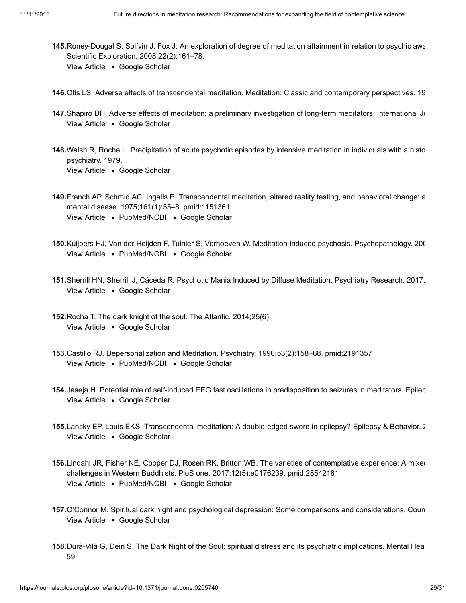- <span id="page-28-0"></span>**145.** Roney-Dougal S, Solfvin J, Fox J. An exploration of degree of meditation attainment in relation to psychic awa View Article . [Google Scholar](http://scholar.google.com/scholar?q=An+exploration+of+degree+of+meditation+attainment+in+relation+to+psychic+awareness+with+Tibetan+Buddhists+Roney-Dougal+2008) Scientific Exploration. 2008;22(2):161–78.
- <span id="page-28-1"></span>**146.** Otis LS. Adverse effects of transcendental meditation. Meditation: Classic and contemporary perspectives. 19
- <span id="page-28-2"></span>147. Shapiro DH. Adverse effects of meditation: a preliminary investigation of long-term meditators. International Jo View Article . [Google Scholar](http://scholar.google.com/scholar?q=Adverse+effects+of+meditation%3A+a+preliminary+investigation+of+long-term+meditators+Shapiro+1992)
- <span id="page-28-3"></span>**148.** Walsh R, Roche L. Precipitation of acute psychotic episodes by intensive meditation in individuals with a histo View Article . [Google Scholar](http://scholar.google.com/scholar?q=Precipitation+of+acute+psychotic+episodes+by+intensive+meditation+in+individuals+with+a+history+of+schizophrenia+Walsh+1979) psychiatry. 1979.
- **149.** French AP, Schmid AC, Ingalls E. Transcendental meditation, altered reality testing, and behavioral change: a View Article . [PubMed/NCBI](http://www.ncbi.nlm.nih.gov/pubmed/1151361) . [Google Scholar](http://scholar.google.com/scholar?q=Transcendental+meditation%2C+altered+reality+testing%2C+and+behavioral+change%3A+a+case+report+French+1975) mental disease. 1975;161(1):55–8. pmid:1151361
- <span id="page-28-4"></span>**150.** Kuijpers HJ, Van der Heijden F, Tuinier S, Verhoeven W. Meditation-induced psychosis. Psychopathology. 200 [View Article](https://doi.org/10.1159/000108125) • [PubMed/NCBI](http://www.ncbi.nlm.nih.gov/pubmed/17848828) • [Google Scholar](http://scholar.google.com/scholar?q=Meditation-induced+psychosis+Kuijpers+2007)
- <span id="page-28-5"></span>**151.** Sherrill HN, Sherrill J, Cáceda R. Psychotic Mania Induced by Diffuse Meditation. Psychiatry Research. 2017. View Article . [Google Scholar](http://scholar.google.com/scholar?q=Psychotic+Mania+Induced+by+Diffuse+Meditation+Sherrill+2017)
- **152.** Rocha T. The dark knight of the soul. The Atlantic. 2014;25(6). View Article . [Google Scholar](http://scholar.google.com/scholar?q=The+dark+knight+of+the+soul+Rocha+2014)
- <span id="page-28-6"></span>**153.** Castillo RJ. Depersonalization and Meditation. Psychiatry. 1990;53(2):158–68. pmid:2191357 View Article • [PubMed/NCBI](http://www.ncbi.nlm.nih.gov/pubmed/2191357) • [Google Scholar](http://scholar.google.com/scholar?q=Depersonalization+and+Meditation+Castillo+1990)
- <span id="page-28-7"></span>**154.** Jaseja H. Potential role of self-induced EEG fast oscillations in predisposition to seizures in meditators. Epiler View Article . [Google Scholar](http://scholar.google.com/scholar?q=Potential+role+of+self-induced+EEG+fast+oscillations+in+predisposition+to+seizures+in+meditators+Jaseja+2010)
- <span id="page-28-8"></span>**155.** Lansky EP, Louis EKS. Transcendental meditation: A double-edged sword in epilepsy? Epilepsy & Behavior. 2 View Article . [Google Scholar](http://scholar.google.com/scholar?q=Transcendental+meditation%3A+A+double-edged+sword+in+epilepsy%3F+Lansky+2006)
- <span id="page-28-9"></span>156.Lindahl JR, Fisher NE, Cooper DJ, Rosen RK, Britton WB. The varieties of contemplative experience: A mixed [View Article](https://doi.org/10.1371/journal.pone.0176239) • [PubMed/NCBI](http://www.ncbi.nlm.nih.gov/pubmed/28542181) • [Google Scholar](http://scholar.google.com/scholar?q=The+varieties+of+contemplative+experience%3A+A+mixed-methods+study+of+meditation-related+challenges+in+Western+Buddhists+Lindahl+2017) challenges in Western Buddhists. PloS one. 2017;12(5):e0176239. pmid:28542181
- <span id="page-28-10"></span>**157.** O'Connor M. Spiritual dark night and psychological depression: Some comparisons and considerations. Coun View Article . [Google Scholar](http://scholar.google.com/scholar?q=Spiritual+dark+night+and+psychological+depression%3A+Some+comparisons+and+considerations+O%E2%80%99Connor+2002)
- <span id="page-28-11"></span>**158.** Durà-Vilà G, Dein S. The Dark Night of the Soul: spiritual distress and its psychiatric implications. Mental Hea 59.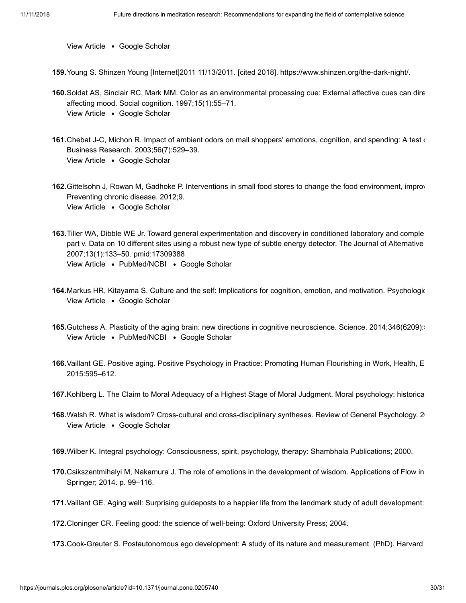View Article . [Google Scholar](http://scholar.google.com/scholar?q=The+Dark+Night+of+the+Soul%3A+spiritual+distress+and+its+psychiatric+implications+Dur%C3%A0-Vil%C3%A0+2009)

**159.** Young S. Shinzen Young [Internet]2011 11/13/2011. [cited 2018]. [https://www.shinzen.org/the-dark-night/.](https://www.shinzen.org/the-dark-night/)

- <span id="page-29-0"></span>**160.** Soldat AS, Sinclair RC, Mark MM. Color as an environmental processing cue: External affective cues can dire View Article . [Google Scholar](http://scholar.google.com/scholar?q=Color+as+an+environmental+processing+cue%3A+External+affective+cues+can+directly+affect+processing+strategy+without+affecting+mood+Soldat+1997) affecting mood. Social cognition. 1997;15(1):55–71.
- <span id="page-29-1"></span>**161.** Chebat J-C, Michon R. Impact of ambient odors on mall shoppers' emotions, cognition, and spending: A test o View Article . [Google Scholar](http://scholar.google.com/scholar?q=Impact+of+ambient+odors+on+mall+shoppers%E2%80%99+emotions%2C+cognition%2C+and+spending%3A+A+test+of+competitive+causal+theories+Chebat+2003) Business Research. 2003;56(7):529–39.
- <span id="page-29-2"></span>**162.** Gittelsohn J, Rowan M, Gadhoke P. Interventions in small food stores to change the food environment, improv View Article . [Google Scholar](http://scholar.google.com/scholar?q=Interventions+in+small+food+stores+to+change+the+food+environment%2C+improve+diet%2C+and+reduce+risk+of+chronic+disease+Gittelsohn+2012) Preventing chronic disease. 2012;9.
- <span id="page-29-3"></span>**163.** Tiller WA, Dibble WE Jr. Toward general experimentation and discovery in conditioned laboratory and comple [View Article](https://doi.org/10.1089/acm.2006.6143) • [PubMed/NCBI](http://www.ncbi.nlm.nih.gov/pubmed/17309388) • [Google Scholar](http://scholar.google.com/scholar?q=Toward+general+experimentation+and+discovery+in+conditioned+laboratory+and+complementary+and+alternative+medicine+spaces%3A+part+v.+Data+on+10+different+sites+using+a+robust+new+type+of+subtle+energy+detector+Tiller+2007) part v. Data on 10 different sites using a robust new type of subtle energy detector. The Journal of Alternative 2007;13(1):133–50. pmid:17309388
- <span id="page-29-4"></span>**164.** Markus HR, Kitayama S. Culture and the self: Implications for cognition, emotion, and motivation. Psychologic View Article . [Google Scholar](http://scholar.google.com/scholar?q=Culture+and+the+self%3A+Implications+for+cognition%2C+emotion%2C+and+motivation+Markus+1991)
- <span id="page-29-5"></span>165.Gutchess A. Plasticity of the aging brain: new directions in cognitive neuroscience. Science. 2014;346(6209): [View Article](https://doi.org/10.1126/science.1254604) • [PubMed/NCBI](http://www.ncbi.nlm.nih.gov/pubmed/25359965) • [Google Scholar](http://scholar.google.com/scholar?q=Plasticity+of+the+aging+brain%3A+new+directions+in+cognitive+neuroscience+Gutchess+2014)
- <span id="page-29-6"></span>**166.** Vaillant GE. Positive aging. Positive Psychology in Practice: Promoting Human Flourishing in Work, Health, E 2015:595–612.
- <span id="page-29-7"></span>**167.** Kohlberg L. The Claim to Moral Adequacy of a Highest Stage of Moral Judgment. Moral psychology: historica
- <span id="page-29-8"></span>**168.** Walsh R. What is wisdom? Cross-cultural and cross-disciplinary syntheses. Review of General Psychology. 20 View Article . [Google Scholar](http://scholar.google.com/scholar?q=What+is+wisdom%3F+Cross-cultural+and+cross-disciplinary+syntheses+Walsh+2015)
- <span id="page-29-9"></span>**169.** Wilber K. Integral psychology: Consciousness, spirit, psychology, therapy: Shambhala Publications; 2000.
- <span id="page-29-10"></span>**170.** Csikszentmihalyi M, Nakamura J. The role of emotions in the development of wisdom. Applications of Flow in Springer; 2014. p. 99–116.
- **171.** Vaillant GE. Aging well: Surprising guideposts to a happier life from the landmark study of adult development:

**172.** Cloninger CR. Feeling good: the science of well-being: Oxford University Press; 2004.

**173.** Cook-Greuter S. Postautonomous ego development: A study of its nature and measurement. (PhD). Harvard